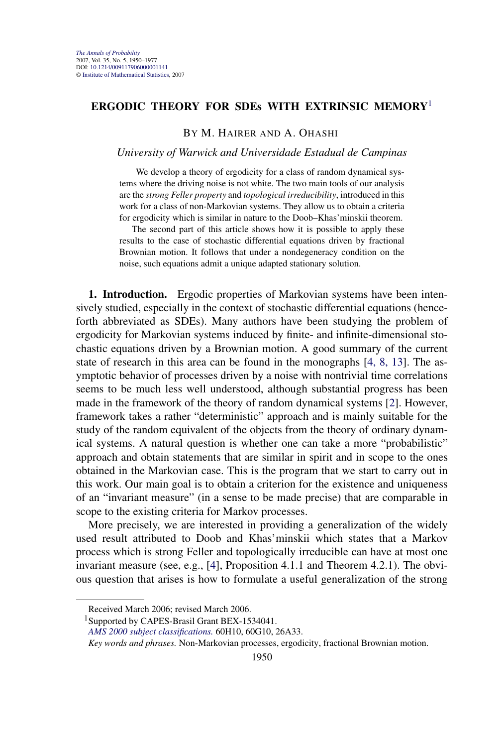# <span id="page-0-0"></span>**ERGODIC THEORY FOR SDEs WITH EXTRINSIC MEMORY**<sup>1</sup>

## BY M. HAIRER AND A. OHASHI

## *University of Warwick and Universidade Estadual de Campinas*

We develop a theory of ergodicity for a class of random dynamical systems where the driving noise is not white. The two main tools of our analysis are the *strong Feller property* and *topological irreducibility*, introduced in this work for a class of non-Markovian systems. They allow us to obtain a criteria for ergodicity which is similar in nature to the Doob–Khas'minskii theorem.

The second part of this article shows how it is possible to apply these results to the case of stochastic differential equations driven by fractional Brownian motion. It follows that under a nondegeneracy condition on the noise, such equations admit a unique adapted stationary solution.

**1. Introduction.** Ergodic properties of Markovian systems have been intensively studied, especially in the context of stochastic differential equations (henceforth abbreviated as SDEs). Many authors have been studying the problem of ergodicity for Markovian systems induced by finite- and infinite-dimensional stochastic equations driven by a Brownian motion. A good summary of the current state of research in this area can be found in the monographs [\[4, 8, 13\]](#page-27-0). The asymptotic behavior of processes driven by a noise with nontrivial time correlations seems to be much less well understood, although substantial progress has been made in the framework of the theory of random dynamical systems [\[2\]](#page-27-0). However, framework takes a rather "deterministic" approach and is mainly suitable for the study of the random equivalent of the objects from the theory of ordinary dynamical systems. A natural question is whether one can take a more "probabilistic" approach and obtain statements that are similar in spirit and in scope to the ones obtained in the Markovian case. This is the program that we start to carry out in this work. Our main goal is to obtain a criterion for the existence and uniqueness of an "invariant measure" (in a sense to be made precise) that are comparable in scope to the existing criteria for Markov processes.

More precisely, we are interested in providing a generalization of the widely used result attributed to Doob and Khas'minskii which states that a Markov process which is strong Feller and topologically irreducible can have at most one invariant measure (see, e.g., [\[4\]](#page-27-0), Proposition 4.1.1 and Theorem 4.2.1). The obvious question that arises is how to formulate a useful generalization of the strong

Received March 2006; revised March 2006.

<sup>&</sup>lt;sup>1</sup>Supported by CAPES-Brasil Grant BEX-1534041.

*[AMS 2000 subject classifications.](http://www.ams.org/msc/)* 60H10, 60G10, 26A33.

*Key words and phrases.* Non-Markovian processes, ergodicity, fractional Brownian motion.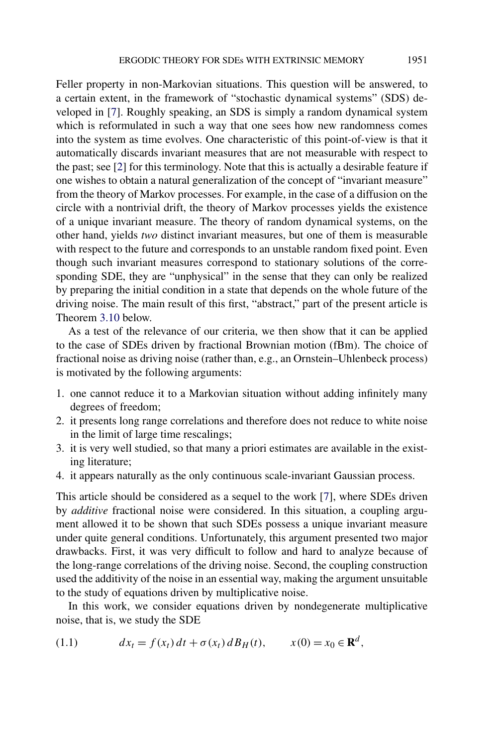<span id="page-1-0"></span>Feller property in non-Markovian situations. This question will be answered, to a certain extent, in the framework of "stochastic dynamical systems" (SDS) developed in [\[7\]](#page-27-0). Roughly speaking, an SDS is simply a random dynamical system which is reformulated in such a way that one sees how new randomness comes into the system as time evolves. One characteristic of this point-of-view is that it automatically discards invariant measures that are not measurable with respect to the past; see [\[2\]](#page-27-0) for this terminology. Note that this is actually a desirable feature if one wishes to obtain a natural generalization of the concept of "invariant measure" from the theory of Markov processes. For example, in the case of a diffusion on the circle with a nontrivial drift, the theory of Markov processes yields the existence of a unique invariant measure. The theory of random dynamical systems, on the other hand, yields *two* distinct invariant measures, but one of them is measurable with respect to the future and corresponds to an unstable random fixed point. Even though such invariant measures correspond to stationary solutions of the corresponding SDE, they are "unphysical" in the sense that they can only be realized by preparing the initial condition in a state that depends on the whole future of the driving noise. The main result of this first, "abstract," part of the present article is Theorem [3.10](#page-9-0) below.

As a test of the relevance of our criteria, we then show that it can be applied to the case of SDEs driven by fractional Brownian motion (fBm). The choice of fractional noise as driving noise (rather than, e.g., an Ornstein–Uhlenbeck process) is motivated by the following arguments:

- 1. one cannot reduce it to a Markovian situation without adding infinitely many degrees of freedom;
- 2. it presents long range correlations and therefore does not reduce to white noise in the limit of large time rescalings;
- 3. it is very well studied, so that many a priori estimates are available in the existing literature;
- 4. it appears naturally as the only continuous scale-invariant Gaussian process.

This article should be considered as a sequel to the work [\[7\]](#page-27-0), where SDEs driven by *additive* fractional noise were considered. In this situation, a coupling argument allowed it to be shown that such SDEs possess a unique invariant measure under quite general conditions. Unfortunately, this argument presented two major drawbacks. First, it was very difficult to follow and hard to analyze because of the long-range correlations of the driving noise. Second, the coupling construction used the additivity of the noise in an essential way, making the argument unsuitable to the study of equations driven by multiplicative noise.

In this work, we consider equations driven by nondegenerate multiplicative noise, that is, we study the SDE

(1.1) 
$$
dx_t = f(x_t) dt + \sigma(x_t) dB_H(t), \qquad x(0) = x_0 \in \mathbb{R}^d,
$$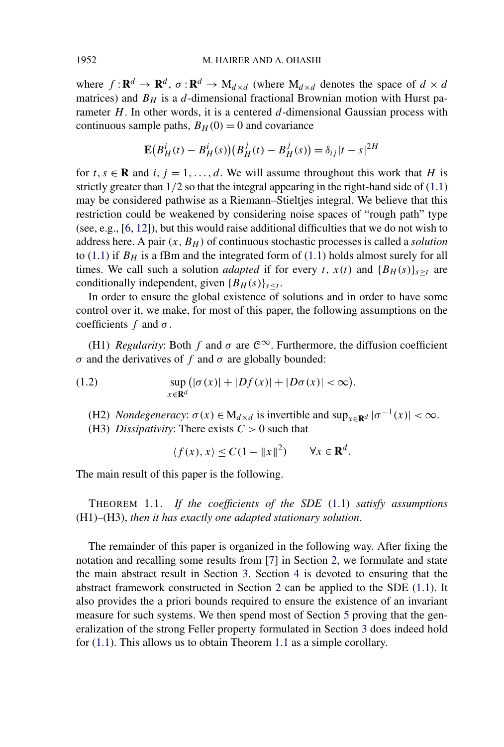<span id="page-2-0"></span>where  $f: \mathbf{R}^d \to \mathbf{R}^d$ ,  $\sigma: \mathbf{R}^d \to M_{d \times d}$  (where  $M_{d \times d}$  denotes the space of  $d \times d$ matrices) and  $B_H$  is a *d*-dimensional fractional Brownian motion with Hurst parameter *H*. In other words, it is a centered *d*-dimensional Gaussian process with continuous sample paths,  $B_H(0) = 0$  and covariance

$$
\mathbf{E}(B_H^i(t) - B_H^i(s))(B_H^j(t) - B_H^j(s)) = \delta_{ij}|t - s|^{2H}
$$

for  $t, s \in \mathbf{R}$  and  $i, j = 1, ..., d$ . We will assume throughout this work that *H* is strictly greater than 1*/*2 so that the integral appearing in the right-hand side of [\(1.1\)](#page-1-0) may be considered pathwise as a Riemann–Stieltjes integral. We believe that this restriction could be weakened by considering noise spaces of "rough path" type (see, e.g., [\[6, 12\]](#page-27-0)), but this would raise additional difficulties that we do not wish to address here. A pair *(x, BH )* of continuous stochastic processes is called a *solution* to  $(1.1)$  if  $B_H$  is a fBm and the integrated form of  $(1.1)$  holds almost surely for all times. We call such a solution *adapted* if for every *t*,  $x(t)$  and  ${B<sub>H</sub>(s)}<sub>s>t</sub>$  are conditionally independent, given  ${B<sub>H</sub>(s)}<sub>s</sub> < t$ .

In order to ensure the global existence of solutions and in order to have some control over it, we make, for most of this paper, the following assumptions on the coefficients  $f$  and  $\sigma$ .

(H1) *Regularity*: Both *f* and  $\sigma$  are  $\mathbb{C}^{\infty}$ . Furthermore, the diffusion coefficient *σ* and the derivatives of *f* and *σ* are globally bounded:

(1.2) 
$$
\sup_{x \in \mathbf{R}^d} (|\sigma(x)| + |Df(x)| + |D\sigma(x)| < \infty).
$$

- (H2) *Nondegeneracy:*  $\sigma(x) \in M_{d \times d}$  is invertible and  $\sup_{x \in \mathbb{R}^d} |\sigma^{-1}(x)| < \infty$ .
- (H3) *Dissipativity*: There exists  $C > 0$  such that

$$
\langle f(x), x \rangle \le C(1 - \|x\|^2) \qquad \forall x \in \mathbf{R}^d.
$$

The main result of this paper is the following.

THEOREM 1.1. *If the coefficients of the SDE* [\(1.1\)](#page-1-0) *satisfy assumptions* (H1)–(H3), *then it has exactly one adapted stationary solution*.

The remainder of this paper is organized in the following way. After fixing the notation and recalling some results from [\[7\]](#page-27-0) in Section [2,](#page-3-0) we formulate and state the main abstract result in Section [3.](#page-5-0) Section [4](#page-11-0) is devoted to ensuring that the abstract framework constructed in Section [2](#page-3-0) can be applied to the SDE [\(1.1\)](#page-1-0). It also provides the a priori bounds required to ensure the existence of an invariant measure for such systems. We then spend most of Section [5](#page-16-0) proving that the generalization of the strong Feller property formulated in Section [3](#page-5-0) does indeed hold for [\(1.1\)](#page-1-0). This allows us to obtain Theorem 1.1 as a simple corollary.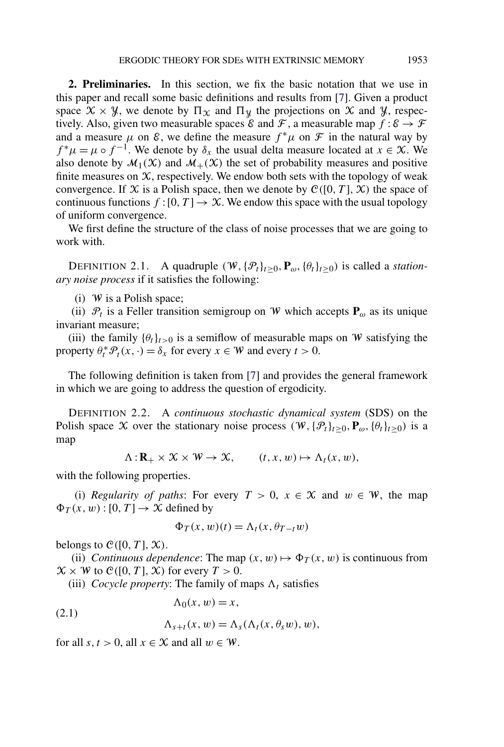<span id="page-3-0"></span>**2. Preliminaries.** In this section, we fix the basic notation that we use in this paper and recall some basic definitions and results from [\[7\]](#page-27-0). Given a product space  $X \times Y$ , we denote by  $\Pi_X$  and  $\Pi_Y$  the projections on X and Y, respectively. Also, given two measurable spaces  $\mathcal E$  and  $\mathcal F$ , a measurable map  $f : \mathcal E \to \mathcal F$ and a measure  $\mu$  on  $\mathcal{E}$ , we define the measure  $f^*\mu$  on  $\mathcal{F}$  in the natural way by  $f^* \mu = \mu \circ f^{-1}$ . We denote by  $\delta_x$  the usual delta measure located at  $x \in \mathcal{X}$ . We also denote by  $\mathcal{M}_1(\mathcal{X})$  and  $\mathcal{M}_+(\mathcal{X})$  the set of probability measures and positive finite measures on  $X$ , respectively. We endow both sets with the topology of weak convergence. If X is a Polish space, then we denote by  $C([0, T], X)$  the space of continuous functions  $f:[0, T] \to \mathcal{X}$ . We endow this space with the usual topology of uniform convergence.

We first define the structure of the class of noise processes that we are going to work with.

DEFINITION 2.1. A quadruple  $(W, \{P_t\}_{t \geq 0}, P_\omega, \{\theta_t\}_{t \geq 0})$  is called a *stationary noise process* if it satisfies the following:

(i)  $W$  is a Polish space;

(ii)  $\mathcal{P}_t$  is a Feller transition semigroup on W which accepts  $P_\omega$  as its unique invariant measure;

(iii) the family  $\{\theta_t\}_{t>0}$  is a semiflow of measurable maps on W satisfying the property  $\theta_t^* \mathcal{P}_t(x, \cdot) = \delta_x$  for every  $x \in \mathcal{W}$  and every  $t > 0$ .

The following definition is taken from [\[7\]](#page-27-0) and provides the general framework in which we are going to address the question of ergodicity.

DEFINITION 2.2. A *continuous stochastic dynamical system* (SDS) on the Polish space X over the stationary noise process  $(W, \{P_t\}_{t>0}, P_\omega, \{\theta_t\}_{t>0})$  is a map

$$
\Lambda: \mathbf{R}_{+} \times \mathcal{X} \times \mathcal{W} \to \mathcal{X}, \qquad (t, x, w) \mapsto \Lambda_{t}(x, w),
$$

with the following properties.

(i) *Regularity of paths*: For every  $T > 0$ ,  $x \in \mathcal{X}$  and  $w \in \mathcal{W}$ , the map  $\Phi_T(x, w) : [0, T] \to \mathcal{X}$  defined by

$$
\Phi_T(x, w)(t) = \Lambda_t(x, \theta_{T-t}w)
$$

belongs to  $C([0, T], \mathcal{X})$ .

(ii) *Continuous dependence*: The map  $(x, w) \mapsto \Phi_T(x, w)$  is continuous from  $\mathcal{X} \times \mathcal{W}$  to  $\mathcal{C}([0, T], \mathcal{X})$  for every  $T > 0$ .

(iii) *Cocycle property*: The family of maps  $\Lambda_t$  satisfies

(2.1) 
$$
\Lambda_0(x, w) = x,
$$

$$
\Lambda_{s+t}(x, w) = \Lambda_s(\Lambda_t(x, \theta_s w), w),
$$

for all  $s, t > 0$ , all  $x \in \mathcal{X}$  and all  $w \in \mathcal{W}$ .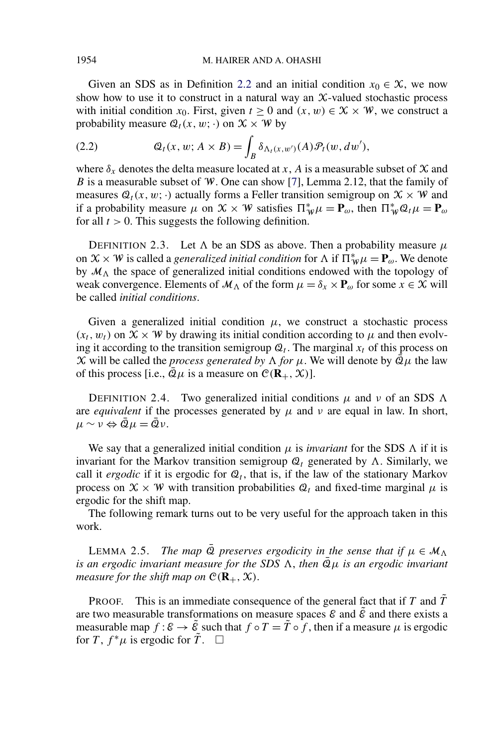<span id="page-4-0"></span>Given an SDS as in Definition [2.2](#page-3-0) and an initial condition  $x_0 \in \mathcal{X}$ , we now show how to use it to construct in a natural way an  $X$ -valued stochastic process with initial condition  $x_0$ . First, given  $t > 0$  and  $(x, w) \in \mathcal{X} \times \mathcal{W}$ , we construct a probability measure  $Q_t(x, w; \cdot)$  on  $X \times W$  by

(2.2) 
$$
\mathcal{Q}_t(x, w; A \times B) = \int_B \delta_{\Lambda_t(x, w')}(A) \mathcal{P}_t(w, dw'),
$$

where  $\delta_x$  denotes the delta measure located at *x*, *A* is a measurable subset of  $\mathcal X$  and *B* is a measurable subset of W. One can show [\[7\]](#page-27-0), Lemma 2.12, that the family of measures  $Q_t(x, w; \cdot)$  actually forms a Feller transition semigroup on  $X \times W$  and if a probability measure  $\mu$  on  $\mathcal{X} \times \mathcal{W}$  satisfies  $\Pi_{\mathcal{W}}^* \mu = \mathbf{P}_{\omega}$ , then  $\Pi_{\mathcal{W}}^* \mathcal{Q}_{\tau} \mu = \mathbf{P}_{\omega}$ for all  $t > 0$ . This suggests the following definition.

DEFINITION 2.3. Let  $\Lambda$  be an SDS as above. Then a probability measure  $\mu$ on  $X \times W$  is called a *generalized initial condition* for  $\Lambda$  if  $\hat{\Pi}_{W}^{*}\mu = \mathbf{P}_{\omega}$ . We denote by  $M_{\Lambda}$  the space of generalized initial conditions endowed with the topology of weak convergence. Elements of  $\mathcal{M}_{\Lambda}$  of the form  $\mu = \delta_x \times \mathbf{P}_{\omega}$  for some  $x \in \mathcal{X}$  will be called *initial conditions*.

Given a generalized initial condition  $\mu$ , we construct a stochastic process  $(x_t, w_t)$  on  $\mathcal{X} \times \mathcal{W}$  by drawing its initial condition according to  $\mu$  and then evolving it according to the transition semigroup  $Q_t$ . The marginal  $x_t$  of this process on X will be called the *process generated by*  $\Lambda$  *for*  $\mu$ . We will denote by  $\overline{Q}\mu$  the law of this process [i.e.,  $\overline{Q}\mu$  is a measure on  $C(\mathbf{R}_+,\mathbf{X})$ ].

DEFINITION 2.4. Two generalized initial conditions  $\mu$  and  $\nu$  of an SDS  $\Lambda$ are *equivalent* if the processes generated by  $\mu$  and  $\nu$  are equal in law. In short,  $\mu \sim \nu \Leftrightarrow \bar{Q}\mu = \bar{Q}\nu.$ 

We say that a generalized initial condition  $\mu$  is *invariant* for the SDS  $\Lambda$  if it is invariant for the Markov transition semigroup  $\mathcal{Q}_t$  generated by  $\Lambda$ . Similarly, we call it *ergodic* if it is ergodic for  $Q_t$ , that is, if the law of the stationary Markov process on  $X \times W$  with transition probabilities  $Q_t$  and fixed-time marginal  $\mu$  is ergodic for the shift map.

The following remark turns out to be very useful for the approach taken in this work.

LEMMA 2.5. *The map*  $\overline{Q}$  *preserves ergodicity in the sense that if*  $\mu \in \mathcal{M}_{\Lambda}$ *is an ergodic invariant measure for the SDS*  $\Lambda$ *, then*  $\overline{Q}\mu$  *is an ergodic invariant measure for the shift map on*  $C(\mathbf{R}_+,\mathbf{X})$ .

PROOF. This is an immediate consequence of the general fact that if *T* and  $\overline{T}$ are two measurable transformations on measure spaces  $\mathcal E$  and  $\tilde{\mathcal E}$  and there exists a measurable map  $f : \mathcal{E} \to \tilde{\mathcal{E}}$  such that  $f \circ T = \tilde{T} \circ f$ , then if a measure  $\mu$  is ergodic for *T*,  $f^* \mu$  is ergodic for  $\tilde{T}$ .  $\Box$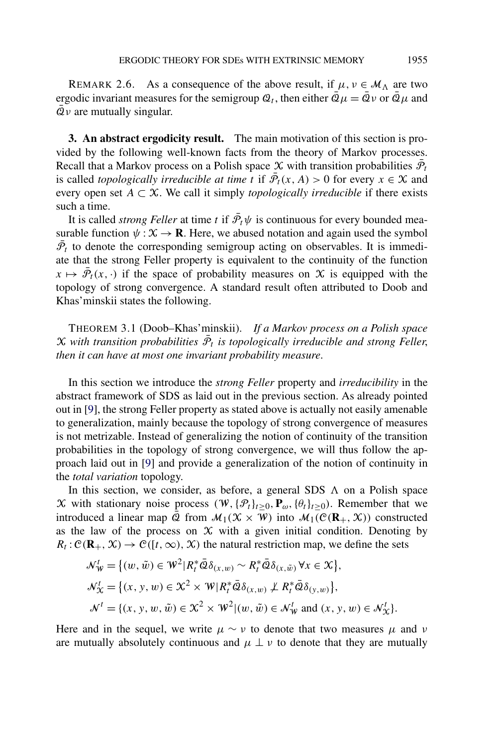<span id="page-5-0"></span>REMARK 2.6. As a consequence of the above result, if  $\mu, \nu \in \mathcal{M}_{\Lambda}$  are two ergodic invariant measures for the semigroup  $\mathcal{Q}_t$ , then either  $\overline{\mathcal{Q}}\mu = \overline{\mathcal{Q}}\nu$  or  $\overline{\mathcal{Q}}\mu$  and  $\overline{Q}v$  are mutually singular.

**3. An abstract ergodicity result.** The main motivation of this section is provided by the following well-known facts from the theory of Markov processes. Recall that a Markov process on a Polish space  $\mathcal X$  with transition probabilities  $\bar{\mathcal P}_t$ is called *topologically irreducible at time t* if  $\bar{\mathcal{P}}_t(x, A) > 0$  for every  $x \in \mathcal{X}$  and every open set  $A \subset \mathcal{X}$ . We call it simply *topologically irreducible* if there exists such a time.

It is called *strong Feller* at time *t* if  $\bar{P}_t \psi$  is continuous for every bounded measurable function  $\psi : \mathcal{X} \to \mathbf{R}$ . Here, we abused notation and again used the symbol  $\bar{\mathcal{P}}_t$  to denote the corresponding semigroup acting on observables. It is immediate that the strong Feller property is equivalent to the continuity of the function  $x \mapsto \bar{\mathcal{P}}_t(x, \cdot)$  if the space of probability measures on X is equipped with the topology of strong convergence. A standard result often attributed to Doob and Khas'minskii states the following.

THEOREM 3.1 (Doob–Khas'minskii). *If a Markov process on a Polish space*  $X$  with transition probabilities  $\overline{P}_t$  is topologically irreducible and strong Feller, *then it can have at most one invariant probability measure*.

In this section we introduce the *strong Feller* property and *irreducibility* in the abstract framework of SDS as laid out in the previous section. As already pointed out in [\[9\]](#page-27-0), the strong Feller property as stated above is actually not easily amenable to generalization, mainly because the topology of strong convergence of measures is not metrizable. Instead of generalizing the notion of continuity of the transition probabilities in the topology of strong convergence, we will thus follow the approach laid out in [\[9\]](#page-27-0) and provide a generalization of the notion of continuity in the *total variation* topology.

In this section, we consider, as before, a general SDS  $\Lambda$  on a Polish space X with stationary noise process  $(W, \{P_t\}_{t>0}, P_\omega, \{\theta_t\}_{t>0})$ . Remember that we introduced a linear map  $\overline{Q}$  from  $\mathcal{M}_1(\mathcal{X} \times \mathcal{W})$  into  $\mathcal{M}_1(\mathcal{C}(\mathbf{R}_+, \mathcal{X}))$  constructed as the law of the process on  $X$  with a given initial condition. Denoting by  $R_t$ :  $C(\mathbf{R}_+,\mathcal{X}) \to C([t,\infty),\mathcal{X})$  the natural restriction map, we define the sets

$$
\mathcal{N}_{\mathcal{W}}^{t} = \{ (w, \tilde{w}) \in \mathcal{W}^{2} | R_{t}^{*} \bar{\mathcal{Q}} \delta_{(x, w)} \sim R_{t}^{*} \bar{\mathcal{Q}} \delta_{(x, \tilde{w})} \forall x \in \mathcal{X} \},
$$
  

$$
\mathcal{N}_{\mathcal{X}}^{t} = \{ (x, y, w) \in \mathcal{X}^{2} \times \mathcal{W} | R_{t}^{*} \bar{\mathcal{Q}} \delta_{(x, w)} \not\perp R_{t}^{*} \bar{\mathcal{Q}} \delta_{(y, w)} \},
$$
  

$$
\mathcal{N}^{t} = \{ (x, y, w, \tilde{w}) \in \mathcal{X}^{2} \times \mathcal{W}^{2} | (w, \tilde{w}) \in \mathcal{N}_{\mathcal{W}}^{t} \text{ and } (x, y, w) \in \mathcal{N}_{\mathcal{X}}^{t} \}.
$$

Here and in the sequel, we write  $\mu \sim \nu$  to denote that two measures  $\mu$  and  $\nu$ are mutually absolutely continuous and  $\mu \perp \nu$  to denote that they are mutually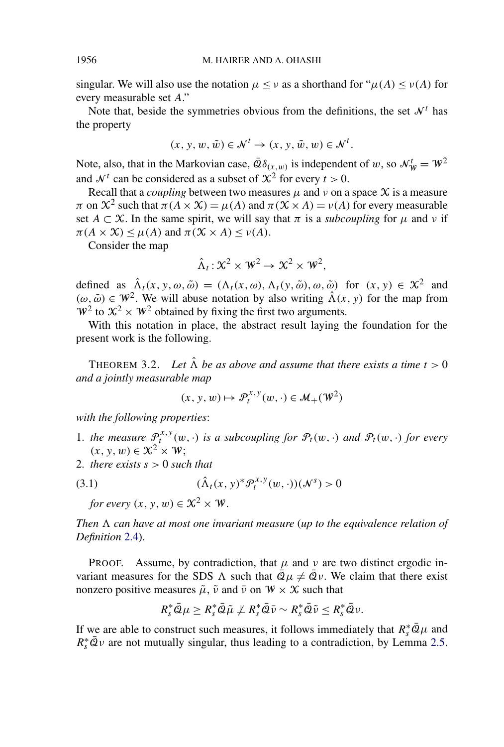<span id="page-6-0"></span>singular. We will also use the notation  $\mu \leq \nu$  as a shorthand for " $\mu(A) \leq \nu(A)$  for every measurable set *A*."

Note that, beside the symmetries obvious from the definitions, the set  $\mathcal{N}^t$  has the property

$$
(x, y, w, \tilde{w}) \in \mathcal{N}^t \to (x, y, \tilde{w}, w) \in \mathcal{N}^t.
$$

Note, also, that in the Markovian case,  $\bar{\mathcal{Q}} \delta_{(x,w)}$  is independent of w, so  $\mathcal{N}_w^t = W^2$ and  $\mathcal{N}^t$  can be considered as a subset of  $\mathcal{X}^2$  for every  $t > 0$ .

Recall that a *coupling* between two measures  $\mu$  and  $\nu$  on a space  $\chi$  is a measure *π* on  $\mathcal{X}^2$  such that  $\pi(A \times \mathcal{X}) = \mu(A)$  and  $\pi(\mathcal{X} \times A) = \nu(A)$  for every measurable set  $A \subset \mathcal{X}$ . In the same spirit, we will say that  $\pi$  is a *subcoupling* for  $\mu$  and  $\nu$  if  $\pi(A \times \mathcal{X}) \leq \mu(A)$  and  $\pi(\mathcal{X} \times A) \leq \nu(A)$ .

Consider the map

$$
\hat{\Lambda}_t: \mathcal{X}^2 \times \mathcal{W}^2 \to \mathcal{X}^2 \times \mathcal{W}^2,
$$

defined as  $\hat{\Lambda}_t(x, y, \omega, \tilde{\omega}) = (\Lambda_t(x, \omega), \Lambda_t(y, \tilde{\omega}), \omega, \tilde{\omega})$  for  $(x, y) \in \mathcal{X}^2$  and  $(\omega, \tilde{\omega}) \in W^2$ . We will abuse notation by also writing  $\hat{\Lambda}(x, y)$  for the map from  $W^2$  to  $X^2 \times W^2$  obtained by fixing the first two arguments.

With this notation in place, the abstract result laying the foundation for the present work is the following.

THEOREM 3.2. Let  $\hat{\Lambda}$  be as above and assume that there exists a time  $t > 0$ *and a jointly measurable map*

$$
(x, y, w) \mapsto \mathcal{P}_t^{x, y}(w, \cdot) \in \mathcal{M}_+(\mathcal{W}^2)
$$

*with the following properties*:

- 1. *the measure*  $\mathcal{P}_t^{x,y}(w, \cdot)$  *is a subcoupling for*  $\mathcal{P}_t(w, \cdot)$  *and*  $\mathcal{P}_t(w, \cdot)$  *for every*  $(x, y, w) \in \mathcal{X}^2 \times \mathcal{W}$ ;
- 2. *there exists s >* 0 *such that*

(3.1) 
$$
(\hat{\Lambda}_t(x, y)^* \mathcal{P}_t^{x, y}(w, \cdot))(\mathcal{N}^s) > 0
$$

*for every*  $(x, y, w) \in \mathcal{X}^2 \times \mathcal{W}$ .

*Then can have at most one invariant measure* (*up to the equivalence relation of Definition* [2.4\)](#page-4-0).

PROOF. Assume, by contradiction, that  $\mu$  and  $\nu$  are two distinct ergodic invariant measures for the SDS  $\Lambda$  such that  $\overline{Q}\mu \neq \overline{Q}\nu$ . We claim that there exist nonzero positive measures  $\tilde{\mu}$ ,  $\tilde{\nu}$  and  $\bar{\nu}$  on  $W \times X$  such that

$$
R_s^*\bar{Q}\mu \geq R_s^*\bar{Q}\tilde{\mu} \not\perp R_s^*\bar{Q}\bar{\nu} \sim R_s^*\bar{Q}\tilde{\nu} \leq R_s^*\bar{Q}\nu.
$$

If we are able to construct such measures, it follows immediately that  $R_s^* \bar{Q}_\mu$  and  $R_s^* \bar{Q}_V$  are not mutually singular, thus leading to a contradiction, by Lemma [2.5.](#page-4-0)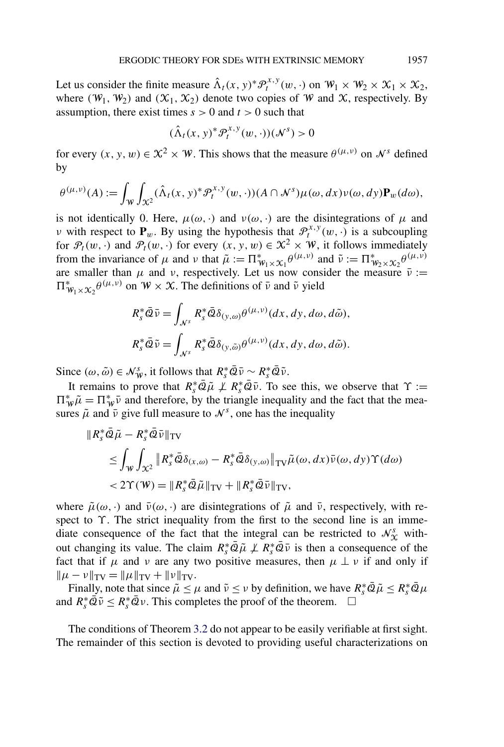Let us consider the finite measure  $\hat{\Lambda}_t(x, y)^* \mathcal{P}_t^{x, y}(w, \cdot)$  on  $\mathcal{W}_1 \times \mathcal{W}_2 \times \mathcal{X}_1 \times \mathcal{X}_2$ , where  $(W_1, W_2)$  and  $(X_1, X_2)$  denote two copies of W and X, respectively. By assumption, there exist times  $s > 0$  and  $t > 0$  such that

$$
(\hat{\Lambda}_t(x, y)^* \mathcal{P}_t^{x, y}(w, \cdot))(\mathcal{N}^s) > 0
$$

for every  $(x, y, w) \in \mathcal{X}^2 \times \mathcal{W}$ . This shows that the measure  $\theta^{(\mu, v)}$  on N<sup>s</sup> defined by

$$
\theta^{(\mu,\nu)}(A) := \int_{\mathcal{W}} \int_{\mathcal{X}^2} (\hat{\Lambda}_t(x, y)^* \mathcal{P}_t^{x, y}(w, \cdot))(A \cap \mathcal{N}^s) \mu(\omega, dx) \nu(\omega, dy) \mathbf{P}_w(d\omega),
$$

is not identically 0. Here,  $\mu(\omega, \cdot)$  and  $\nu(\omega, \cdot)$  are the disintegrations of  $\mu$  and *ν* with respect to  $\mathbf{P}_w$ . By using the hypothesis that  $\mathcal{P}_t^{x,y}(w, \cdot)$  is a subcoupling for  $\mathcal{P}_t(w, \cdot)$  and  $\mathcal{P}_t(w, \cdot)$  for every  $(x, y, w) \in \mathcal{X}^2 \times \mathcal{W}$ , it follows immediately from the invariance of  $\mu$  and  $\nu$  that  $\tilde{\mu} := \Pi_{W_1 \times X_1}^* \theta^{(\mu, \nu)}$  and  $\tilde{\nu} := \Pi_{W_2 \times X_2}^* \theta^{(\mu, \nu)}$ are smaller than  $\mu$  and  $\nu$ , respectively. Let us now consider the measure  $\bar{\nu}$  :=  $\Pi_{W_1 \times X_2}^* \theta^{(\mu, \nu)}$  on  $W \times X$ . The definitions of  $\bar{\nu}$  and  $\tilde{\nu}$  yield

$$
R_s^* \overline{\mathcal{Q}} \overline{\nu} = \int_{\mathcal{N}^s} R_s^* \overline{\mathcal{Q}} \delta_{(y,\omega)} \theta^{(\mu,\nu)}(dx, dy, d\omega, d\tilde{\omega}),
$$
  

$$
R_s^* \overline{\mathcal{Q}} \tilde{\nu} = \int_{\mathcal{N}^s} R_s^* \overline{\mathcal{Q}} \delta_{(y,\tilde{\omega})} \theta^{(\mu,\nu)}(dx, dy, d\omega, d\tilde{\omega}).
$$

Since  $(\omega, \tilde{\omega}) \in \mathcal{N}_{\mathcal{W}}^s$ , it follows that  $R_s^* \bar{\mathcal{Q}} \bar{\nu} \sim R_s^* \bar{\mathcal{Q}} \tilde{\nu}$ .

It remains to prove that  $R_s^* \bar{Q} \tilde{\mu} \not\perp R_s^* \bar{Q} \bar{\nu}$ . To see this, we observe that  $\Upsilon :=$  $\Pi^*_{\Psi}\tilde{\mu} = \Pi^*_{\Psi}\tilde{\nu}$  and therefore, by the triangle inequality and the fact that the measures  $\tilde{\mu}$  and  $\bar{\nu}$  give full measure to  $\mathcal{N}^s$ , one has the inequality

$$
\begin{aligned} \|R_s^* \bar{\mathcal{Q}} \tilde{\mu} - R_s^* \bar{\mathcal{Q}} \bar{\nu} \|_{\text{TV}} \\ &\leq \int_{\mathcal{W}} \int_{\mathcal{X}^2} \|R_s^* \bar{\mathcal{Q}} \delta_{(x,\omega)} - R_s^* \bar{\mathcal{Q}} \delta_{(y,\omega)} \|_{\text{TV}} \tilde{\mu}(\omega, dx) \bar{\nu}(\omega, dy) \Upsilon(d\omega) \\ &< 2 \Upsilon(\mathcal{W}) = \|R_s^* \bar{\mathcal{Q}} \tilde{\mu} \|_{\text{TV}} + \|R_s^* \bar{\mathcal{Q}} \bar{\nu} \|_{\text{TV}}, \end{aligned}
$$

where  $\tilde{\mu}(\omega, \cdot)$  and  $\tilde{\nu}(\omega, \cdot)$  are disintegrations of  $\tilde{\mu}$  and  $\tilde{\nu}$ , respectively, with respect to *ϒ*. The strict inequality from the first to the second line is an immediate consequence of the fact that the integral can be restricted to  $\mathcal{N}_{\chi}^s$  without changing its value. The claim  $R_s^* \bar{Q} \tilde{\mu} \not\perp R_s^* \bar{Q} \bar{\nu}$  is then a consequence of the fact that if  $\mu$  and  $\nu$  are any two positive measures, then  $\mu \perp \nu$  if and only if  $\|\mu - \nu\|_{TV} = \|\mu\|_{TV} + \|\nu\|_{TV}.$ 

Finally, note that since  $\tilde{\mu} \le \mu$  and  $\tilde{\nu} \le \nu$  by definition, we have  $R_s^* \bar{\mathcal{Q}} \tilde{\mu} \le R_s^* \bar{\mathcal{Q}} \mu$ and  $R_s^* \overline{Q} \tilde{\nu} \leq R_s^* \overline{Q} \nu$ . This completes the proof of the theorem.  $\Box$ 

The conditions of Theorem [3.2](#page-6-0) do not appear to be easily verifiable at first sight. The remainder of this section is devoted to providing useful characterizations on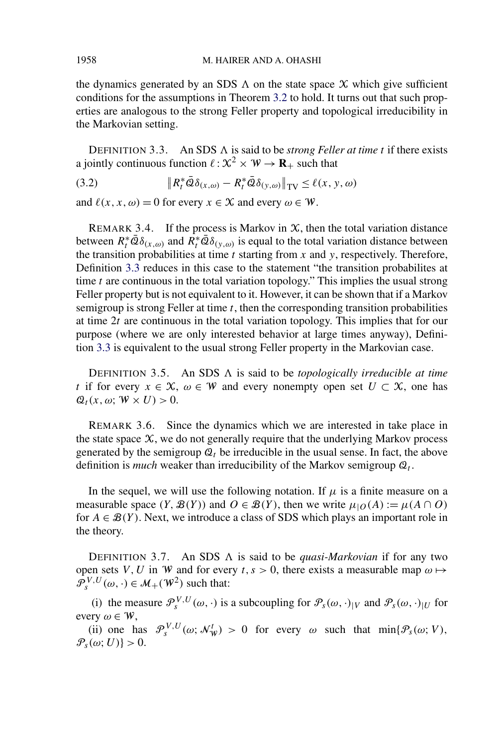the dynamics generated by an SDS  $\Lambda$  on the state space  $\chi$  which give sufficient conditions for the assumptions in Theorem [3.2](#page-6-0) to hold. It turns out that such properties are analogous to the strong Feller property and topological irreducibility in the Markovian setting.

DEFINITION 3.3. An SDS  $\Lambda$  is said to be *strong Feller at time t* if there exists a jointly continuous function  $\ell : \mathcal{X}^2 \times \mathcal{W} \to \mathbf{R}_+$  such that

(3.2) 
$$
\|R_t^* \overline{Q} \delta_{(x,\omega)} - R_t^* \overline{Q} \delta_{(y,\omega)}\|_{TV} \leq \ell(x, y, \omega)
$$

and  $\ell(x, x, \omega) = 0$  for every  $x \in \mathcal{X}$  and every  $\omega \in \mathcal{W}$ .

REMARK 3.4. If the process is Markov in  $X$ , then the total variation distance between  $R_t^* \bar{Q} \delta_{(x,\omega)}$  and  $\bar{R_t^*} \bar{Q} \delta_{(y,\omega)}$  is equal to the total variation distance between the transition probabilities at time *t* starting from *x* and *y*, respectively. Therefore, Definition 3.3 reduces in this case to the statement "the transition probabilites at time *t* are continuous in the total variation topology." This implies the usual strong Feller property but is not equivalent to it. However, it can be shown that if a Markov semigroup is strong Feller at time *t*, then the corresponding transition probabilities at time 2*t* are continuous in the total variation topology. This implies that for our purpose (where we are only interested behavior at large times anyway), Definition 3.3 is equivalent to the usual strong Feller property in the Markovian case.

DEFINITION 3.5. An SDS  $\Lambda$  is said to be *topologically irreducible at time t* if for every  $x \in \mathcal{X}, \omega \in \mathcal{W}$  and every nonempty open set  $U \subset \mathcal{X}$ , one has  $\mathcal{Q}_t(x, \omega; W \times U) > 0.$ 

REMARK 3.6. Since the dynamics which we are interested in take place in the state space  $X$ , we do not generally require that the underlying Markov process generated by the semigroup  $\mathcal{Q}_t$  be irreducible in the usual sense. In fact, the above definition is *much* weaker than irreducibility of the Markov semigroup  $Q_t$ .

In the sequel, we will use the following notation. If  $\mu$  is a finite measure on a measurable space  $(Y, \mathcal{B}(Y))$  and  $O \in \mathcal{B}(Y)$ , then we write  $\mu|_O(A) := \mu(A \cap O)$ for  $A \in \mathcal{B}(Y)$ . Next, we introduce a class of SDS which plays an important role in the theory.

DEFINITION 3.7. An SDS A is said to be *quasi-Markovian* if for any two open sets *V*, *U* in W and for every  $t, s > 0$ , there exists a measurable map  $\omega \mapsto$  $\mathcal{P}_{s}^{V,U}(\omega,\cdot) \in \mathcal{M}_{+}(\mathcal{W}^{2})$  such that:

(i) the measure  $\mathcal{P}_s^{V,U}(\omega, \cdot)$  is a subcoupling for  $\mathcal{P}_s(\omega, \cdot)_{|V}$  and  $\mathcal{P}_s(\omega, \cdot)_{|U}$  for every  $\omega \in W$ ,

(ii) one has  $\mathcal{P}_s^{V,U}(\omega; \mathcal{N}_w^t) > 0$  for every  $\omega$  such that  $\min\{\mathcal{P}_s(\omega; V),\}$  $\mathcal{P}_s(\omega; U) \geq 0$ .

<span id="page-8-0"></span>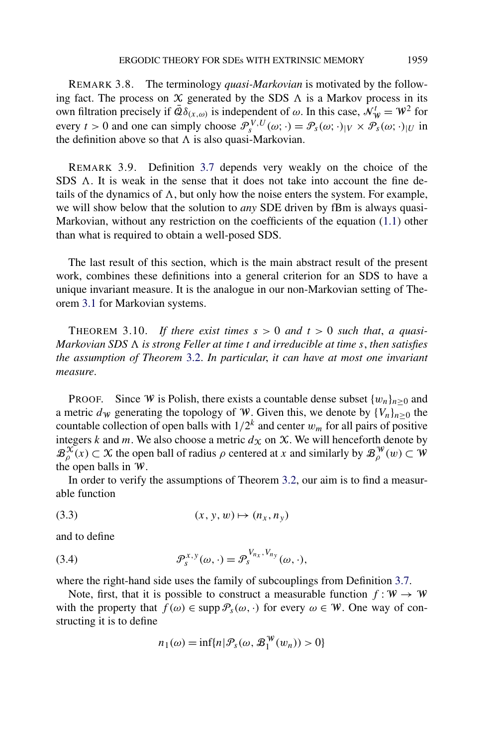<span id="page-9-0"></span>REMARK 3.8. The terminology *quasi-Markovian* is motivated by the following fact. The process on  $X$  generated by the SDS  $\Lambda$  is a Markov process in its own filtration precisely if  $\bar{Q}\delta_{(x,\omega)}$  is independent of *ω*. In this case,  $\mathcal{N}_w^t = W^2$  for every  $t > 0$  and one can simply choose  $\mathcal{P}_s^{V,U}(\omega; \cdot) = \mathcal{P}_s(\omega; \cdot)_{|V} \times \mathcal{P}_s(\omega; \cdot)_{|U}$  in the definition above so that  $\Lambda$  is also quasi-Markovian.

REMARK 3.9. Definition [3.7](#page-8-0) depends very weakly on the choice of the SDS  $\Lambda$ . It is weak in the sense that it does not take into account the fine details of the dynamics of  $\Lambda$ , but only how the noise enters the system. For example, we will show below that the solution to *any* SDE driven by fBm is always quasi-Markovian, without any restriction on the coefficients of the equation [\(1.1\)](#page-1-0) other than what is required to obtain a well-posed SDS.

The last result of this section, which is the main abstract result of the present work, combines these definitions into a general criterion for an SDS to have a unique invariant measure. It is the analogue in our non-Markovian setting of Theorem [3.1](#page-5-0) for Markovian systems.

THEOREM 3.10. If there exist times  $s > 0$  and  $t > 0$  such that, a quasi-*Markovian SDS is strong Feller at time t and irreducible at time s*, *then satisfies the assumption of Theorem* [3.2.](#page-6-0) *In particular*, *it can have at most one invariant measure*.

**PROOF.** Since W is Polish, there exists a countable dense subset  $\{w_n\}_{n>0}$  and a metric  $d_W$  generating the topology of W. Given this, we denote by  ${V_n}_{n \geq 0}$  the countable collection of open balls with  $1/2^k$  and center  $w_m$  for all pairs of positive integers *k* and *m*. We also choose a metric  $d_X$  on  $\mathcal X$ . We will henceforth denote by  $B_\rho^{\mathcal{X}}(x) \subset \mathcal{X}$  the open ball of radius  $\rho$  centered at *x* and similarly by  $B_\rho^{\mathcal{W}}(w) \subset \mathcal{W}$ the open balls in W.

In order to verify the assumptions of Theorem [3.2,](#page-6-0) our aim is to find a measurable function

$$
(3.3) \qquad \qquad (x, y, w) \mapsto (n_x, n_y)
$$

and to define

(3.4) 
$$
\mathcal{P}_s^{x,y}(\omega,\cdot)=\mathcal{P}_s^{V_{n_x},V_{n_y}}(\omega,\cdot),
$$

where the right-hand side uses the family of subcouplings from Definition [3.7.](#page-8-0)

Note, first, that it is possible to construct a measurable function  $f : W \to W$ with the property that  $f(\omega) \in \text{supp } \mathcal{P}_s(\omega, \cdot)$  for every  $\omega \in \mathcal{W}$ . One way of constructing it is to define

$$
n_1(\omega) = \inf\{n | \mathcal{P}_s(\omega, \mathcal{B}_1^W(w_n)) > 0\}
$$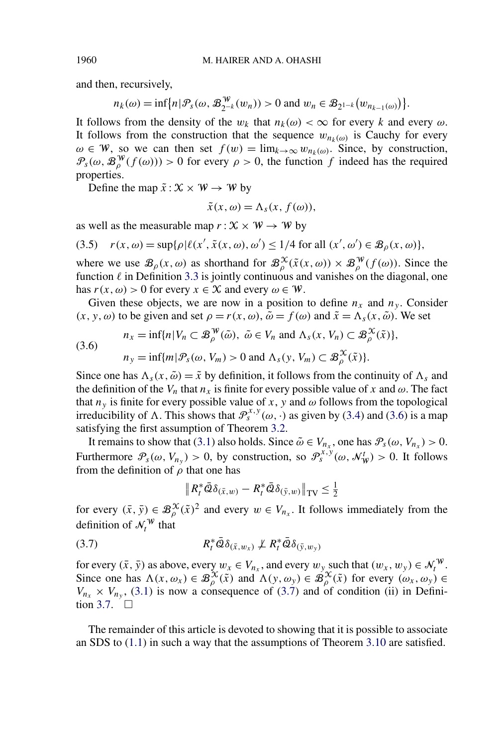and then, recursively,

$$
n_k(\omega)=\inf\{n|\mathcal{P}_s(\omega,\mathcal{B}_{2^{-k}}^W(w_n))>0\text{ and }w_n\in\mathcal{B}_{2^{1-k}}(w_{n_{k-1}(\omega)})\}.
$$

It follows from the density of the  $w_k$  that  $n_k(\omega) < \infty$  for every k and every  $\omega$ . It follows from the construction that the sequence  $w_{n_k(\omega)}$  is Cauchy for every  $\omega \in W$ , so we can then set  $f(w) = \lim_{k \to \infty} w_{n_k(\omega)}$ . Since, by construction,  $\mathcal{P}_{s}(\omega, \mathcal{B}_{\rho}^{W}(f(\omega))) > 0$  for every  $\rho > 0$ , the function f indeed has the required properties.

Define the map  $\tilde{x}$  :  $\mathcal{X} \times \mathcal{W} \rightarrow \mathcal{W}$  by

$$
\tilde{x}(x,\omega) = \Lambda_s(x, f(\omega)),
$$

as well as the measurable map  $r : \mathcal{X} \times \mathcal{W} \rightarrow \mathcal{W}$  by

 $r(x, \omega) = \sup\{\rho | \ell(x', \tilde{x}(x, \omega), \omega') \leq 1/4 \text{ for all } (x', \omega') \in \mathcal{B}_{\rho}(x, \omega)\},$ 

where we use  $\mathcal{B}_{\rho}(x,\omega)$  as shorthand for  $\mathcal{B}_{\rho}^{\mathcal{X}}(\tilde{x}(x,\omega)) \times \mathcal{B}_{\rho}^{\mathcal{W}}(f(\omega))$ . Since the function  $\ell$  in Definition [3.3](#page-8-0) is jointly continuous and vanishes on the diagonal, one has  $r(x, \omega) > 0$  for every  $x \in \mathcal{X}$  and every  $\omega \in \mathcal{W}$ .

Given these objects, we are now in a position to define  $n_x$  and  $n_y$ . Consider *(x, y, ω)* to be given and set  $ρ = r(x, ω)$ ,  $\tilde{ω} = f(ω)$  and  $\tilde{x} = Λ_s(x, \tilde{ω})$ . We set

(3.6) 
$$
n_x = \inf\{n | V_n \subset \mathcal{B}_{\rho}^{\mathcal{W}}(\tilde{\omega}), \ \tilde{\omega} \in V_n \text{ and } \Lambda_s(x, V_n) \subset \mathcal{B}_{\rho}^{\mathcal{X}}(\tilde{x})\},
$$

$$
n_y = \inf\{m | \mathcal{P}_s(\omega, V_m) > 0 \text{ and } \Lambda_s(y, V_m) \subset \mathcal{B}_{\rho}^{\mathcal{X}}(\tilde{x})\}.
$$

Since one has  $\Lambda_s(x, \tilde{\omega}) = \tilde{x}$  by definition, it follows from the continuity of  $\Lambda_s$  and the definition of the  $V_n$  that  $n_x$  is finite for every possible value of x and  $\omega$ . The fact that  $n_y$  is finite for every possible value of *x*, *y* and  $\omega$  follows from the topological irreducibility of  $\Lambda$ . This shows that  $\mathcal{P}_{s}^{x,y}(\omega, \cdot)$  as given by [\(3.4\)](#page-9-0) and (3.6) is a map satisfying the first assumption of Theorem [3.2.](#page-6-0)

It remains to show that [\(3.1\)](#page-6-0) also holds. Since  $\tilde{\omega} \in V_{n_x}$ , one has  $\mathcal{P}_{s}(\omega, V_{n_x}) > 0$ . Furthermore  $\mathcal{P}_s(\omega, V_{n_y}) > 0$ , by construction, so  $\mathcal{P}_s^{x,y}(\omega, \mathcal{N}_{\mathcal{W}}^t) > 0$ . It follows from the definition of *ρ* that one has

$$
\|R_t^*\bar{Q}\delta(\bar{x},w) - R_t^*\bar{Q}\delta(\bar{y},w)\|_{\text{TV}} \le \frac{1}{2}
$$

for every  $(\bar{x}, \bar{y}) \in \mathcal{B}_{\rho}^{\mathcal{X}}(\tilde{x})^2$  and every  $w \in V_{n_x}$ . It follows immediately from the definition of  $\mathcal{N}_t^{\mathcal{W}}$  that

$$
(3.7) \t\t R_t^* \bar{Q} \delta_{(\bar{x},w_x)} \nightharpoonup R_t^* \bar{Q} \delta_{(\bar{y},w_y)}
$$

for every  $(\bar{x}, \bar{y})$  as above, every  $w_x \in V_{n_x}$ , and every  $w_y$  such that  $(w_x, w_y) \in \mathcal{N}_t^{\mathcal{W}}$ . Since one has  $\Lambda(x, \omega_x) \in \mathcal{B}_{\rho}^{\mathcal{X}}(\tilde{x})$  and  $\Lambda(y, \omega_y) \in \mathcal{B}_{\rho}^{\mathcal{X}}(\tilde{x})$  for every  $(\omega_x, \omega_y) \in$  $V_{n_x} \times V_{n_y}$ , [\(3.1\)](#page-6-0) is now a consequence of (3.7) and of condition (ii) in Defini-tion [3.7.](#page-8-0)  $\Box$ 

The remainder of this article is devoted to showing that it is possible to associate an SDS to [\(1.1\)](#page-1-0) in such a way that the assumptions of Theorem [3.10](#page-9-0) are satisfied.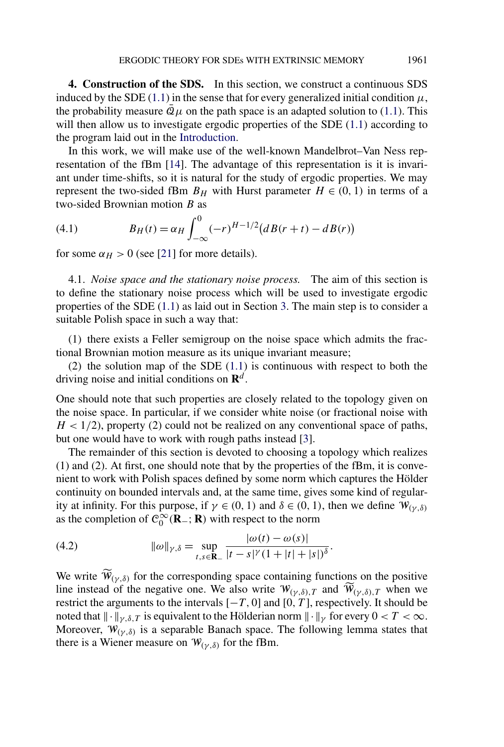<span id="page-11-0"></span>**4. Construction of the SDS.** In this section, we construct a continuous SDS induced by the SDE [\(1.1\)](#page-1-0) in the sense that for every generalized initial condition  $\mu$ , the probability measure  $\overline{Q}\mu$  on the path space is an adapted solution to [\(1.1\)](#page-1-0). This will then allow us to investigate ergodic properties of the SDE [\(1.1\)](#page-1-0) according to the program laid out in the [Introduction.](#page-0-0)

In this work, we will make use of the well-known Mandelbrot–Van Ness representation of the fBm [\[14\]](#page-27-0). The advantage of this representation is it is invariant under time-shifts, so it is natural for the study of ergodic properties. We may represent the two-sided fBm  $B_H$  with Hurst parameter  $H \in (0, 1)$  in terms of a two-sided Brownian motion *B* as

(4.1) 
$$
B_H(t) = \alpha_H \int_{-\infty}^0 (-r)^{H-1/2} (dB(r+t) - dB(r))
$$

for some  $\alpha_H > 0$  (see [\[21\]](#page-27-0) for more details).

4.1. *Noise space and the stationary noise process.* The aim of this section is to define the stationary noise process which will be used to investigate ergodic properties of the SDE [\(1.1\)](#page-1-0) as laid out in Section [3.](#page-5-0) The main step is to consider a suitable Polish space in such a way that:

(1) there exists a Feller semigroup on the noise space which admits the fractional Brownian motion measure as its unique invariant measure;

(2) the solution map of the SDE [\(1.1\)](#page-1-0) is continuous with respect to both the driving noise and initial conditions on **R***<sup>d</sup>* .

One should note that such properties are closely related to the topology given on the noise space. In particular, if we consider white noise (or fractional noise with *H <* 1*/*2), property (2) could not be realized on any conventional space of paths, but one would have to work with rough paths instead [\[3\]](#page-27-0).

The remainder of this section is devoted to choosing a topology which realizes (1) and (2). At first, one should note that by the properties of the fBm, it is convenient to work with Polish spaces defined by some norm which captures the Hölder continuity on bounded intervals and, at the same time, gives some kind of regularity at infinity. For this purpose, if  $\gamma \in (0, 1)$  and  $\delta \in (0, 1)$ , then we define  $\mathcal{W}_{(\gamma, \delta)}$ as the completion of  $\hat{C}_0^{\infty}(\mathbf{R}_-;\mathbf{R})$  with respect to the norm

(4.2) 
$$
\|\omega\|_{\gamma,\delta} = \sup_{t,s \in \mathbf{R}_-} \frac{|\omega(t) - \omega(s)|}{|t - s|^{\gamma} (1 + |t| + |s|)^{\delta}}.
$$

We write  $\hat{W}_{(\gamma,\delta)}$  for the corresponding space containing functions on the positive line instead of the negative one. We also write  $W_{(\gamma,\delta),T}$  and  $W_{(\gamma,\delta),T}$  when we restrict the arguments to the intervals  $[-T, 0]$  and  $[0, T]$ , respectively. It should be noted that  $\|\cdot\|_{\gamma,\delta,T}$  is equivalent to the Hölderian norm  $\|\cdot\|_{\gamma}$  for every  $0 < T < \infty$ . Moreover,  $W_{(\gamma,\delta)}$  is a separable Banach space. The following lemma states that there is a Wiener measure on  $W_{(\gamma,\delta)}$  for the fBm.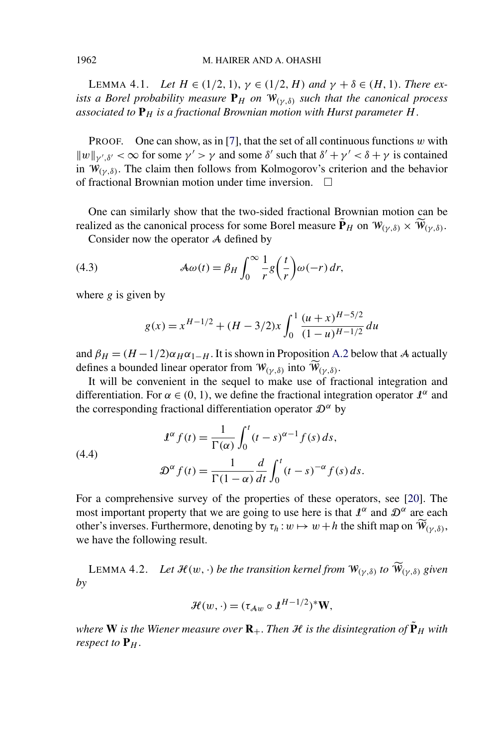<span id="page-12-0"></span>*LEMMA* 4.1. *Let H* ∈ (1/2, 1),  $γ$  ∈ (1/2, *H*) *and*  $γ$  +  $δ$  ∈ (*H*, 1). *There exists a Borel probability measure*  $P_H$  *on*  $W_{(\gamma,\delta)}$  *such that the canonical process associated to* **P***<sup>H</sup> is a fractional Brownian motion with Hurst parameter H*.

PROOF. One can show, as in [\[7\]](#page-27-0), that the set of all continuous functions *w* with  $||w||_{\gamma',\delta'} < \infty$  for some  $\gamma' > \gamma$  and some  $\delta'$  such that  $\delta' + \gamma' < \delta + \gamma$  is contained in  $\mathcal{W}_{(\gamma,\delta)}$ . The claim then follows from Kolmogorov's criterion and the behavior of fractional Brownian motion under time inversion.  $\Box$ 

One can similarly show that the two-sided fractional Brownian motion can be realized as the canonical process for some Borel measure  $\tilde{\mathbf{P}}_H$  on  $\mathcal{W}_{(\gamma,\delta)} \times \tilde{\mathcal{W}}_{(\gamma,\delta)}$ .

Consider now the operator A defined by

(4.3) 
$$
\mathcal{A}\omega(t) = \beta_H \int_0^\infty \frac{1}{r} g\left(\frac{t}{r}\right) \omega(-r) dr,
$$

where *g* is given by

$$
g(x) = x^{H-1/2} + (H - 3/2)x \int_0^1 \frac{(u+x)^{H-5/2}}{(1-u)^{H-1/2}} du
$$

and  $\beta_H = (H - 1/2) \alpha_H \alpha_{1-H}$ . It is shown in Proposition [A.2](#page-26-0) below that A actually defines a bounded linear operator from W*(γ ,δ)* into W *(γ ,δ)*.

It will be convenient in the sequel to make use of fractional integration and differentiation. For  $\alpha \in (0, 1)$ , we define the fractional integration operator  $\mathcal{I}^{\alpha}$  and the corresponding fractional differentiation operator D*<sup>α</sup>* by

(4.4)  

$$
\mathcal{L}^{\alpha} f(t) = \frac{1}{\Gamma(\alpha)} \int_0^t (t - s)^{\alpha - 1} f(s) ds,
$$

$$
\mathcal{D}^{\alpha} f(t) = \frac{1}{\Gamma(1 - \alpha)} \frac{d}{dt} \int_0^t (t - s)^{-\alpha} f(s) ds.
$$

For a comprehensive survey of the properties of these operators, see [\[20\]](#page-27-0). The most important property that we are going to use here is that  $\mathcal{I}^{\alpha}$  and  $\mathcal{D}^{\alpha}$  are each other's inverses. Furthermore, denoting by  $\tau_h : w \mapsto w + h$  the shift map on  $\mathcal{W}_{(\gamma, \delta)}$ , we have the following result.

LEMMA 4.2. *Let*  $\mathcal{H}(w, \cdot)$  *be the transition kernel from*  $\mathcal{W}_{(\gamma, \delta)}$  *to*  $\widetilde{\mathcal{W}}_{(\gamma, \delta)}$  *given by*

$$
\mathcal{H}(w,\cdot)=(\tau_{\mathcal{A}w}\circ\mathcal{I}^{H-1/2})^*\mathbf{W},
$$

*where* **W** is the Wiener measure over  $\mathbf{R}_+$ . Then H is the disintegration of  $\tilde{\mathbf{P}}_H$  with *respect to*  $P$ *H*.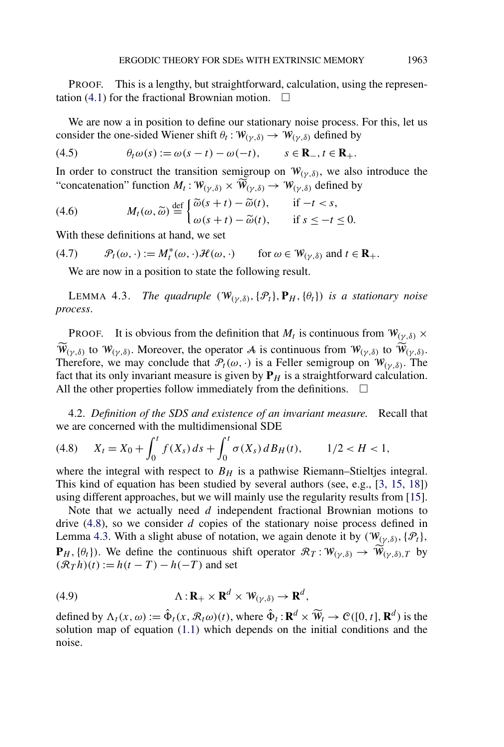<span id="page-13-0"></span>PROOF. This is a lengthy, but straightforward, calculation, using the represen-tation [\(4.1\)](#page-11-0) for the fractional Brownian motion.  $\Box$ 

We are now a in position to define our stationary noise process. For this, let us consider the one-sided Wiener shift  $\theta_t : W_{(\gamma, \delta)} \to W_{(\gamma, \delta)}$  defined by

(4.5) 
$$
\theta_t \omega(s) := \omega(s-t) - \omega(-t), \qquad s \in \mathbf{R}_-, t \in \mathbf{R}_+.
$$

In order to construct the transition semigroup on  $W_{(\gamma,\delta)}$ , we also introduce the "concatenation" function  $M_t$ :  $W_{(\gamma,\delta)} \times \widetilde{W}_{(\gamma,\delta)} \to W_{(\gamma,\delta)}$  defined by

(4.6) 
$$
M_t(\omega, \widetilde{\omega}) \stackrel{\text{def}}{=} \begin{cases} \widetilde{\omega}(s+t) - \widetilde{\omega}(t), & \text{if } -t < s, \\ \omega(s+t) - \widetilde{\omega}(t), & \text{if } s \le -t \le 0. \end{cases}
$$

With these definitions at hand, we set

(4.7) 
$$
\mathcal{P}_t(\omega,\cdot) := M_t^*(\omega,\cdot)\mathcal{H}(\omega,\cdot) \quad \text{for } \omega \in \mathcal{W}_{(\gamma,\delta)} \text{ and } t \in \mathbf{R}_+.
$$

We are now in a position to state the following result.

**LEMMA 4.3.** *The quadruple*  $(W_{(\gamma,\delta)}, {\mathcal{P}}_t, {\mathbf{P}}_H, {\theta_t})$  *is a stationary noise process*.

PROOF. It is obvious from the definition that  $M_t$  is continuous from  $W_{(\gamma,\delta)} \times$  $W_{(\gamma,\delta)}$  to  $W_{(\gamma,\delta)}$ . Moreover, the operator A is continuous from  $W_{(\gamma,\delta)}$  to  $W_{(\gamma,\delta)}$ . Therefore, we may conclude that  $\mathcal{P}_t(\omega, \cdot)$  is a Feller semigroup on  $\mathcal{W}_{(\gamma, \delta)}$ . The fact that its only invariant measure is given by  $P_H$  is a straightforward calculation. All the other properties follow immediately from the definitions.  $\Box$ 

4.2. *Definition of the SDS and existence of an invariant measure.* Recall that we are concerned with the multidimensional SDE

$$
(4.8) \tXt = X0 + \int_0^t f(X_s) ds + \int_0^t \sigma(X_s) dB_H(t), \t1/2 < H < 1,
$$

where the integral with respect to  $B_H$  is a pathwise Riemann–Stieltjes integral. This kind of equation has been studied by several authors (see, e.g., [\[3, 15, 18\]](#page-27-0)) using different approaches, but we will mainly use the regularity results from [\[15\]](#page-27-0).

Note that we actually need *d* independent fractional Brownian motions to drive (4.8), so we consider *d* copies of the stationary noise process defined in Lemma 4.3. With a slight abuse of notation, we again denote it by  $(W_{(\gamma,\delta)}, \{\mathcal{P}_t\})$ , **P**<sub>*H*</sub>, { $\theta$ <sub>*t*</sub>}). We define the continuous shift operator  $\mathcal{R}_T : W_{(\gamma,\delta)} \to W_{(\gamma,\delta),T}$  by  $(R<sub>T</sub>h)(t) := h(t - T) - h(-T)$  and set

(4.9) 
$$
\Lambda: \mathbf{R}_{+} \times \mathbf{R}^{d} \times \mathcal{W}_{(\gamma,\delta)} \to \mathbf{R}^{d},
$$

defined by  $\Lambda_t(x, \omega) := \hat{\Phi}_t(x, \mathcal{R}_t \omega)(t)$ , where  $\hat{\Phi}_t : \mathbf{R}^d \times \widetilde{W}_t \to \mathcal{C}([0, t], \mathbf{R}^d)$  is the solution map of equation [\(1.1\)](#page-1-0) which depends on the initial conditions and the noise.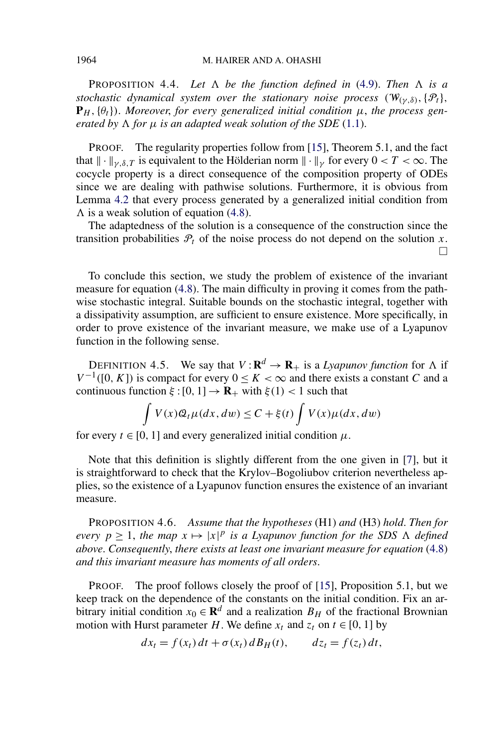<span id="page-14-0"></span>**PROPOSITION** 4.4. Let  $\Lambda$  be the function defined in [\(4.9\)](#page-13-0). Then  $\Lambda$  is a *stochastic dynamical system over the stationary noise process*  $(\mathcal{W}_{(\gamma,\delta)}, {\mathcal{P}_t}$  ${\bf P}_H$ ,  $\{\theta_t\}$ ). Moreover, for every generalized initial condition  $\mu$ , the process gen*erated by*  $\Lambda$  *for*  $\mu$  *is an adapted weak solution of the SDE* [\(1.1\)](#page-1-0).

PROOF. The regularity properties follow from [\[15\]](#page-27-0), Theorem 5.1, and the fact that  $\|\cdot\|_{\nu,\delta,T}$  is equivalent to the Hölderian norm  $\|\cdot\|_{\nu}$  for every  $0 < T < \infty$ . The cocycle property is a direct consequence of the composition property of ODEs since we are dealing with pathwise solutions. Furthermore, it is obvious from Lemma [4.2](#page-12-0) that every process generated by a generalized initial condition from  $\Lambda$  is a weak solution of equation [\(4.8\)](#page-13-0).

The adaptedness of the solution is a consequence of the construction since the transition probabilities  $P_t$  of the noise process do not depend on the solution *x*.  $\Box$ 

To conclude this section, we study the problem of existence of the invariant measure for equation [\(4.8\)](#page-13-0). The main difficulty in proving it comes from the pathwise stochastic integral. Suitable bounds on the stochastic integral, together with a dissipativity assumption, are sufficient to ensure existence. More specifically, in order to prove existence of the invariant measure, we make use of a Lyapunov function in the following sense.

DEFINITION 4.5. We say that  $V : \mathbf{R}^d \to \mathbf{R}_+$  is a *Lyapunov function* for  $\Lambda$  if  $V^{-1}([0, K])$  is compact for every  $0 \le K < \infty$  and there exists a constant *C* and a continuous function  $\xi$  : [0, 1]  $\rightarrow \mathbf{R}_{+}$  with  $\xi$ (1) < 1 such that

$$
\int V(x)\mathcal{Q}_t\mu(dx, dw) \le C + \xi(t) \int V(x)\mu(dx, dw)
$$

for every  $t \in [0, 1]$  and every generalized initial condition  $\mu$ .

Note that this definition is slightly different from the one given in [\[7\]](#page-27-0), but it is straightforward to check that the Krylov–Bogoliubov criterion nevertheless applies, so the existence of a Lyapunov function ensures the existence of an invariant measure.

PROPOSITION 4.6. *Assume that the hypotheses* (H1) *and* (H3) *hold*. *Then for every*  $p \geq 1$ , the map  $x \mapsto |x|^p$  is a Lyapunov function for the SDS  $\Lambda$  defined *above*. *Consequently*, *there exists at least one invariant measure for equation* [\(4.8\)](#page-13-0) *and this invariant measure has moments of all orders*.

PROOF. The proof follows closely the proof of [\[15\]](#page-27-0), Proposition 5.1, but we keep track on the dependence of the constants on the initial condition. Fix an arbitrary initial condition  $x_0 \in \mathbb{R}^d$  and a realization  $B_H$  of the fractional Brownian motion with Hurst parameter *H*. We define  $x_t$  and  $z_t$  on  $t \in [0, 1]$  by

$$
dx_t = f(x_t) dt + \sigma(x_t) dB_H(t), \qquad dz_t = f(z_t) dt,
$$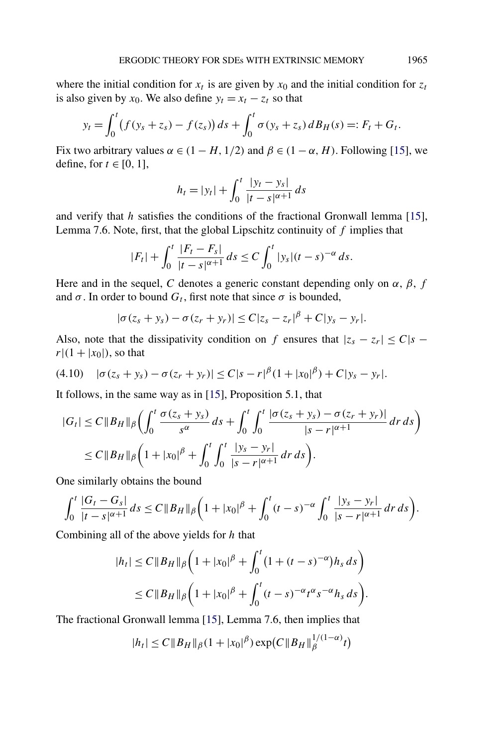where the initial condition for  $x_t$  is are given by  $x_0$  and the initial condition for  $z_t$ is also given by  $x_0$ . We also define  $y_t = x_t - z_t$  so that

$$
y_t = \int_0^t (f(y_s + z_s) - f(z_s)) ds + \int_0^t \sigma(y_s + z_s) dB_H(s) =: F_t + G_t.
$$

Fix two arbitrary values  $\alpha \in (1 - H, 1/2)$  and  $\beta \in (1 - \alpha, H)$ . Following [\[15\]](#page-27-0), we define, for  $t \in [0, 1]$ ,

$$
h_t = |y_t| + \int_0^t \frac{|y_t - y_s|}{|t - s|^{\alpha + 1}} ds
$$

and verify that *h* satisfies the conditions of the fractional Gronwall lemma [\[15\]](#page-27-0), Lemma 7.6. Note, first, that the global Lipschitz continuity of *f* implies that

$$
|F_t| + \int_0^t \frac{|F_t - F_s|}{|t - s|^{\alpha + 1}} ds \le C \int_0^t |y_s|(t - s)^{-\alpha} ds.
$$

Here and in the sequel, *C* denotes a generic constant depending only on  $\alpha$ ,  $\beta$ ,  $f$ and  $\sigma$ . In order to bound  $G_t$ , first note that since  $\sigma$  is bounded,

$$
|\sigma(z_s + y_s) - \sigma(z_r + y_r)| \leq C|z_s - z_r|^{\beta} + C|y_s - y_r|.
$$

Also, note that the dissipativity condition on *f* ensures that  $|z_s - z_r| \le C|s$  $r|(1 + |x_0|)$ , so that

$$
(4.10) \quad |\sigma(z_s + y_s) - \sigma(z_r + y_r)| \leq C|s - r|^{\beta}(1 + |x_0|^{\beta}) + C|y_s - y_r|.
$$

It follows, in the same way as in [\[15\]](#page-27-0), Proposition 5.1, that

$$
|G_t| \le C \|B_H\|_{\beta} \bigg( \int_0^t \frac{\sigma(z_s + y_s)}{s^{\alpha}} ds + \int_0^t \int_0^t \frac{|\sigma(z_s + y_s) - \sigma(z_r + y_r)|}{|s - r|^{\alpha + 1}} dr ds \bigg) \le C \|B_H\|_{\beta} \bigg( 1 + |x_0|^{\beta} + \int_0^t \int_0^t \frac{|y_s - y_r|}{|s - r|^{\alpha + 1}} dr ds \bigg).
$$

One similarly obtains the bound

$$
\int_0^t \frac{|G_t - G_s|}{|t - s|^{\alpha + 1}} ds \le C \|B_H\|_{\beta} \bigg( 1 + |x_0|^{\beta} + \int_0^t (t - s)^{-\alpha} \int_0^t \frac{|y_s - y_r|}{|s - r|^{\alpha + 1}} dr ds \bigg).
$$

Combining all of the above yields for *h* that

$$
|h_t| \le C \|B_H\|_{\beta} \left( 1 + |x_0|^{\beta} + \int_0^t (1 + (t - s)^{-\alpha}) h_s ds \right)
$$
  
\n
$$
\le C \|B_H\|_{\beta} \left( 1 + |x_0|^{\beta} + \int_0^t (t - s)^{-\alpha} t^{\alpha} s^{-\alpha} h_s ds \right).
$$

The fractional Gronwall lemma [\[15\]](#page-27-0), Lemma 7.6, then implies that

$$
|h_t| \leq C \|B_H\|_{\beta} (1 + |x_0|^{\beta}) \exp(C \|B_H\|_{\beta}^{1/(1-\alpha)} t)
$$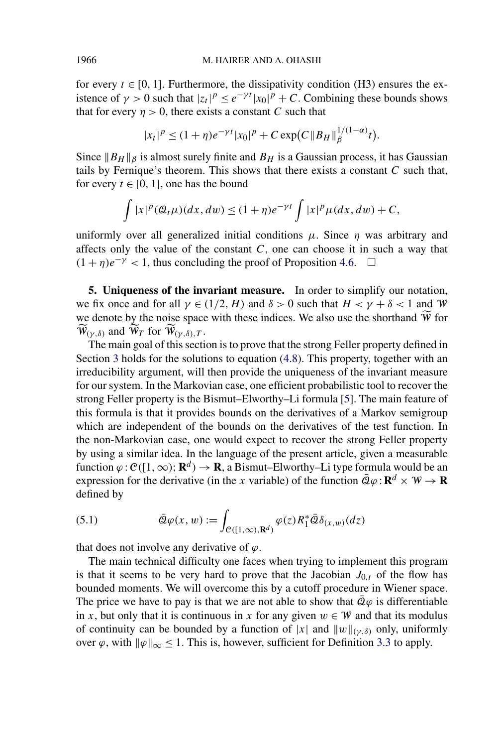<span id="page-16-0"></span>for every  $t \in [0, 1]$ . Furthermore, the dissipativity condition (H3) ensures the existence of  $\gamma > 0$  such that  $|z_t|^p \leq e^{-\gamma t} |x_0|^p + C$ . Combining these bounds shows that for every  $\eta > 0$ , there exists a constant *C* such that

$$
|x_t|^p \le (1+\eta)e^{-\gamma t}|x_0|^p + C \exp(C||B_H||_{{\beta}}^{1/(1-\alpha)}t).
$$

Since  $\|B_H\|_\beta$  is almost surely finite and  $B_H$  is a Gaussian process, it has Gaussian tails by Fernique's theorem. This shows that there exists a constant *C* such that, for every  $t \in [0, 1]$ , one has the bound

$$
\int |x|^p (\mathcal{Q}_t \mu)(dx, dw) \le (1 + \eta) e^{-\gamma t} \int |x|^p \mu(dx, dw) + C,
$$

uniformly over all generalized initial conditions  $\mu$ . Since  $\eta$  was arbitrary and affects only the value of the constant *C*, one can choose it in such a way that  $(1 + \eta)e^{-\gamma}$  < 1, thus concluding the proof of Proposition [4.6.](#page-14-0)  $\Box$ 

**5. Uniqueness of the invariant measure.** In order to simplify our notation, we fix once and for all  $\gamma \in (1/2, H)$  and  $\delta > 0$  such that  $H < \gamma + \delta < 1$  and W we denote by the noise space with these indices. We also use the shorthand  $\hat{W}$  for  $W_{(\gamma,\delta)}$  and  $W_T$  for  $W_{(\gamma,\delta),T}$ .

The main goal of this section is to prove that the strong Feller property defined in Section [3](#page-5-0) holds for the solutions to equation [\(4.8\)](#page-13-0). This property, together with an irreducibility argument, will then provide the uniqueness of the invariant measure for our system. In the Markovian case, one efficient probabilistic tool to recover the strong Feller property is the Bismut–Elworthy–Li formula [\[5\]](#page-27-0). The main feature of this formula is that it provides bounds on the derivatives of a Markov semigroup which are independent of the bounds on the derivatives of the test function. In the non-Markovian case, one would expect to recover the strong Feller property by using a similar idea. In the language of the present article, given a measurable function  $\varphi$  :  $C([1,\infty); \mathbf{R}^d) \to \mathbf{R}$ , a Bismut–Elworthy–Li type formula would be an expression for the derivative (in the *x* variable) of the function  $\bar{Q}\varphi : \mathbf{R}^d \times \mathbf{W} \to \mathbf{R}$ defined by

(5.1) 
$$
\bar{\mathcal{Q}}\varphi(x,w) := \int_{\mathcal{C}([1,\infty),\mathbf{R}^d)} \varphi(z) R_1^* \bar{\mathcal{Q}} \delta_{(x,w)}(dz)
$$

that does not involve any derivative of  $\varphi$ .

The main technical difficulty one faces when trying to implement this program is that it seems to be very hard to prove that the Jacobian  $J_{0,t}$  of the flow has bounded moments. We will overcome this by a cutoff procedure in Wiener space. The price we have to pay is that we are not able to show that  $\overline{Q}\varphi$  is differentiable in *x*, but only that it is continuous in *x* for any given  $w \in W$  and that its modulus of continuity can be bounded by a function of  $|x|$  and  $||w||_{(\gamma,\delta)}$  only, uniformly over  $\varphi$ , with  $\|\varphi\|_{\infty} \leq 1$ . This is, however, sufficient for Definition [3.3](#page-8-0) to apply.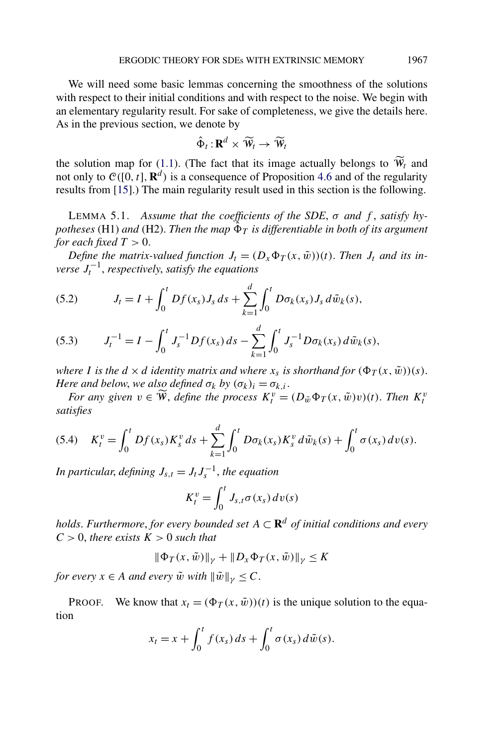<span id="page-17-0"></span>We will need some basic lemmas concerning the smoothness of the solutions with respect to their initial conditions and with respect to the noise. We begin with an elementary regularity result. For sake of completeness, we give the details here. As in the previous section, we denote by

$$
\hat{\Phi}_t : \mathbf{R}^d \times \widetilde{W}_t \to \widetilde{W}_t
$$

the solution map for  $(1.1)$ . (The fact that its image actually belongs to  $W_t$  and not only to  $C([0, t], \mathbb{R}^d)$  is a consequence of Proposition [4.6](#page-14-0) and of the regularity results from [\[15\]](#page-27-0).) The main regularity result used in this section is the following.

LEMMA 5.1. *Assume that the coefficients of the SDE*,  $σ$  *and*  $f$ , *satisfy hypotheses* (H1) *and* (H2). *Then the map*  $\Phi_T$  *is differentiable in both of its argument for each fixed*  $T > 0$ .

*Define the matrix-valued function*  $J_t = (D_x \Phi_T(x, \tilde{w}))_t$ . *Then*  $J_t$  *and its inverse*  $J_t^{-1}$ , *respectively, satisfy the equations* 

(5.2) 
$$
J_t = I + \int_0^t Df(x_s) J_s ds + \sum_{k=1}^d \int_0^t D\sigma_k(x_s) J_s d\tilde{w}_k(s),
$$

(5.3) 
$$
J_t^{-1} = I - \int_0^t J_s^{-1} Df(x_s) ds - \sum_{k=1}^d \int_0^t J_s^{-1} D\sigma_k(x_s) d\tilde{w}_k(s),
$$

*where I is the*  $d \times d$  *identity matrix and where*  $x_s$  *is shorthand for*  $(\Phi_T(x, \tilde{w}))(s)$ . *Here and below, we also defined*  $\sigma_k$  *by*  $(\sigma_k)_i = \sigma_{k,i}$ .

*For any given*  $v \in \widetilde{W}$ , *define the process*  $K_t^v = (D_{\tilde{w}} \Phi_T(x, \tilde{w})v)(t)$ . *Then*  $K_t^v$ *satisfies*

$$
(5.4) \tK_t^v = \int_0^t Df(x_s) K_s^v ds + \sum_{k=1}^d \int_0^t D\sigma_k(x_s) K_s^v d\tilde{w}_k(s) + \int_0^t \sigma(x_s) dv(s).
$$

*In particular, defining*  $J_{s,t} = J_t J_s^{-1}$ *, the equation* 

$$
K_t^v = \int_0^t J_{s,t} \sigma(x_s) \, dv(s)
$$

*holds. Furthermore, for every bounded set*  $A \subset \mathbf{R}^d$  *of initial conditions and every*  $C > 0$ , *there exists*  $K > 0$  *such that* 

$$
\|\Phi_T(x,\tilde{w})\|_{\gamma} + \|D_x \Phi_T(x,\tilde{w})\|_{\gamma} \le K
$$

*for every*  $x \in A$  *and every*  $\tilde{w}$  *with*  $\|\tilde{w}\|_{\gamma} \leq C$ .

PROOF. We know that  $x_t = (\Phi_T(x, \tilde{w}))_t$  is the unique solution to the equation

$$
x_t = x + \int_0^t f(x_s) ds + \int_0^t \sigma(x_s) d\tilde{w}(s).
$$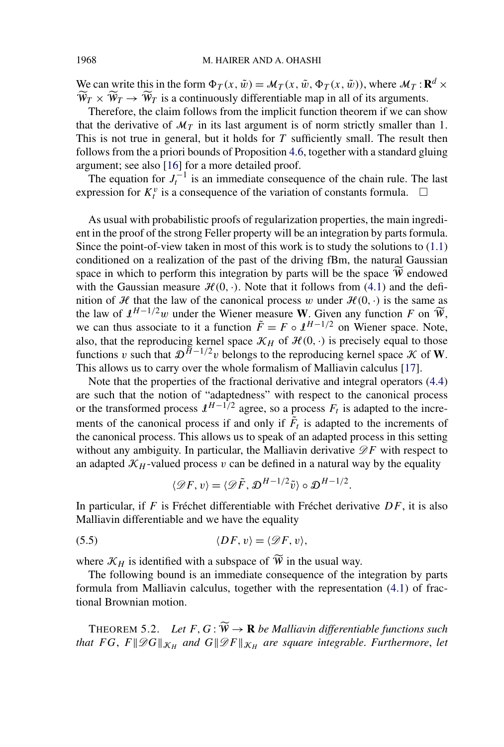We can write this in the form  $\Phi_T(x, \tilde{w}) = \mathcal{M}_T(x, \tilde{w}, \Phi_T(x, \tilde{w}))$ , where  $\mathcal{M}_T : \mathbb{R}^d \times$  $\widetilde{W}_T \times \widetilde{W}_T \to \widetilde{W}_T$  is a continuously differentiable map in all of its arguments.

Therefore, the claim follows from the implicit function theorem if we can show that the derivative of  $\mathcal{M}_T$  in its last argument is of norm strictly smaller than 1. This is not true in general, but it holds for *T* sufficiently small. The result then follows from the a priori bounds of Proposition [4.6,](#page-14-0) together with a standard gluing argument; see also [\[16\]](#page-27-0) for a more detailed proof.

The equation for  $J_t^{-1}$  is an immediate consequence of the chain rule. The last expression for  $K_t^v$  is a consequence of the variation of constants formula.  $\Box$ 

As usual with probabilistic proofs of regularization properties, the main ingredient in the proof of the strong Feller property will be an integration by parts formula. Since the point-of-view taken in most of this work is to study the solutions to [\(1.1\)](#page-1-0) conditioned on a realization of the past of the driving fBm, the natural Gaussian space in which to perform this integration by parts will be the space W endowed with the Gaussian measure  $\mathcal{H}(0, \cdot)$ . Note that it follows from [\(4.1\)](#page-11-0) and the definition of H that the law of the canonical process w under  $\mathcal{H}(0, \cdot)$  is the same as the law of  $\mathcal{I}^{H-1/2}w$  under the Wiener measure **W**. Given any function *F* on  $\widetilde{W}$ , we can thus associate to it a function  $\tilde{F} = F \circ I^{H-1/2}$  on Wiener space. Note, also, that the reproducing kernel space  $\mathcal{K}_H$  of  $\mathcal{H}(0, \cdot)$  is precisely equal to those functions *v* such that  $\mathcal{D}^{H-1/2}v$  belongs to the reproducing kernel space K of **W**. This allows us to carry over the whole formalism of Malliavin calculus [\[17\]](#page-27-0).

Note that the properties of the fractional derivative and integral operators [\(4.4\)](#page-12-0) are such that the notion of "adaptedness" with respect to the canonical process or the transformed process  $\mathcal{I}^{H-1/2}$  agree, so a process  $F_t$  is adapted to the increments of the canonical process if and only if  $\tilde{F}_t$  is adapted to the increments of the canonical process. This allows us to speak of an adapted process in this setting without any ambiguity. In particular, the Malliavin derivative  $\mathscr{D}F$  with respect to an adapted  $\mathcal{K}_H$ -valued process  $v$  can be defined in a natural way by the equality

$$
\langle \mathcal{D}F, v \rangle = \langle \mathcal{D}\tilde{F}, \mathcal{D}^{H-1/2}\tilde{v} \rangle \circ \mathcal{D}^{H-1/2}.
$$

In particular, if *F* is Fréchet differentiable with Fréchet derivative *DF*, it is also Malliavin differentiable and we have the equality

$$
\langle DF, v \rangle = \langle \mathcal{D}F, v \rangle,
$$

where  $\mathcal{K}_H$  is identified with a subspace of W in the usual way.

The following bound is an immediate consequence of the integration by parts formula from Malliavin calculus, together with the representation [\(4.1\)](#page-11-0) of fractional Brownian motion.

THEOREM 5.2. *Let*  $F, G: \mathbf{W} \to \mathbf{R}$  *be Malliavin differentiable functions such that FG*,  $F \otimes G \otimes_{\mathcal{H}}^{\mathcal{H}}$  *and*  $G \otimes F \otimes_{\mathcal{H}}^{\mathcal{H}}$  *are square integrable. Furthermore, let* 

<span id="page-18-0"></span>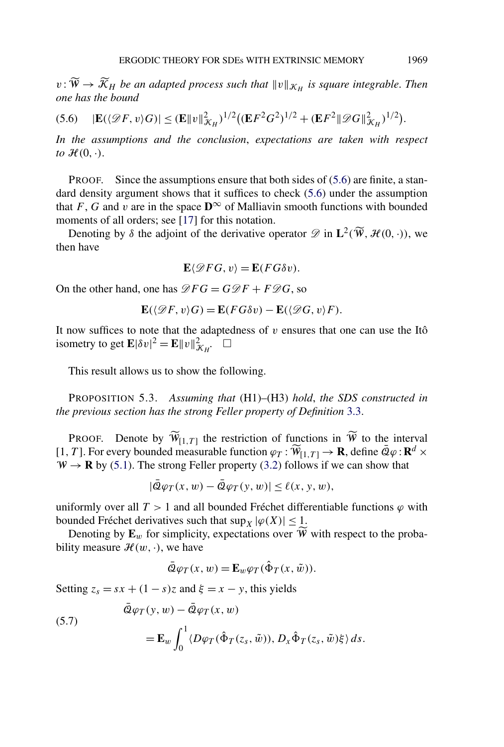<span id="page-19-0"></span> $v: \widetilde{W} \to \widetilde{K}_H$  be an adapted process such that  $\|v\|_{\mathcal{K}_H}$  is square integrable. Then *one has the bound*

$$
(5.6) \quad |\mathbf{E}(\langle \mathcal{D}F, v \rangle G)| \leq (\mathbf{E}||v||^2_{\mathcal{K}_H})^{1/2} \big( (\mathbf{E}F^2G^2)^{1/2} + (\mathbf{E}F^2||\mathcal{D}G||^2_{\mathcal{K}_H})^{1/2} \big).
$$

*In the assumptions and the conclusion*, *expectations are taken with respect to*  $\mathcal{H}(0, \cdot)$ .

PROOF. Since the assumptions ensure that both sides of (5.6) are finite, a standard density argument shows that it suffices to check (5.6) under the assumption that *F*, *G* and *v* are in the space  $\mathbf{D}^{\infty}$  of Malliavin smooth functions with bounded moments of all orders; see [\[17\]](#page-27-0) for this notation.

Denoting by  $\delta$  the adjoint of the derivative operator  $\mathscr{D}$  in  $\mathbf{L}^2(\widetilde{W}, \mathcal{H}(0, \cdot))$ , we then have

$$
\mathbf{E}\langle \mathcal{D}FG, v\rangle = \mathbf{E}(FG\delta v).
$$

On the other hand, one has  $\mathcal{D}FG = G\mathcal{D}F + F\mathcal{D}G$ , so

$$
\mathbf{E}(\langle \mathcal{D}F, v \rangle G) = \mathbf{E}(FG\delta v) - \mathbf{E}(\langle \mathcal{D}G, v \rangle F).
$$

It now suffices to note that the adaptedness of  $v$  ensures that one can use the Itô isometry to get  $\mathbf{E}|\delta v|^2 = \mathbf{E}||v||^2_{K_H}$ .

This result allows us to show the following.

PROPOSITION 5.3. *Assuming that* (H1)–(H3) *hold*, *the SDS constructed in the previous section has the strong Feller property of Definition* [3.3.](#page-8-0)

**PROOF.** Denote by  $\hat{W}_{[1,T]}$  the restriction of functions in  $\hat{W}$  to the interval [1, T]. For every bounded measurable function  $\varphi_T : \widetilde{W}_{[1,T]} \to \mathbf{R}$ , define  $\bar{\mathcal{Q}}\varphi : \mathbf{R}^d \times$  $W \rightarrow \mathbf{R}$  by [\(5.1\)](#page-16-0). The strong Feller property [\(3.2\)](#page-8-0) follows if we can show that

$$
|\bar{\mathcal{Q}}\varphi_T(x,w)-\bar{\mathcal{Q}}\varphi_T(y,w)|\leq \ell(x,y,w),
$$

uniformly over all  $T > 1$  and all bounded Fréchet differentiable functions  $\varphi$  with bounded Fréchet derivatives such that  $\sup_X |\varphi(X)| \leq 1$ .

Denoting by  $\mathbf{E}_w$  for simplicity, expectations over  $\hat{W}$  with respect to the probability measure  $\mathcal{H}(w, \cdot)$ , we have

$$
\bar{\mathcal{Q}}\varphi_T(x,w) = \mathbf{E}_w \varphi_T(\hat{\Phi}_T(x,\tilde{w})).
$$

Setting  $z_s = sx + (1 - s)z$  and  $\xi = x - y$ , this yields

(5.7)  
\n
$$
\bar{\mathcal{Q}}\varphi_T(y, w) - \bar{\mathcal{Q}}\varphi_T(x, w)
$$
\n
$$
= \mathbf{E}_w \int_0^1 \langle D\varphi_T(\hat{\Phi}_T(z_s, \tilde{w})), D_x \hat{\Phi}_T(z_s, \tilde{w}) \xi \rangle ds.
$$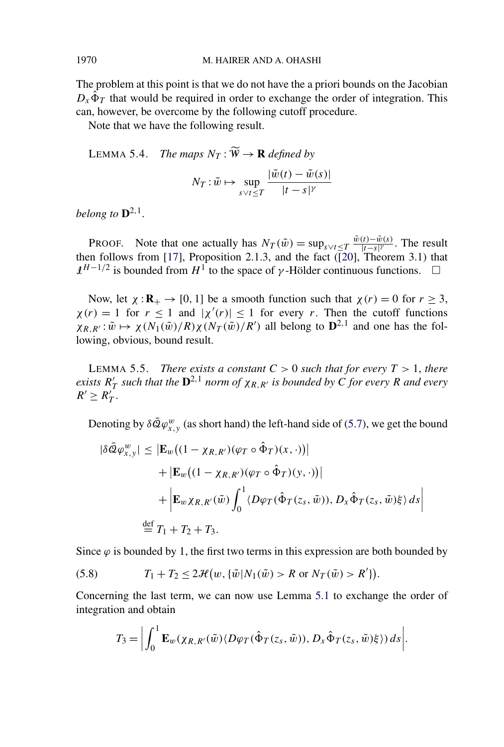The problem at this point is that we do not have the a priori bounds on the Jacobian  $D_x \Phi_T$  that would be required in order to exchange the order of integration. This can, however, be overcome by the following cutoff procedure.

Note that we have the following result.

LEMMA 5.4. *The maps*  $N_T : \widetilde{W} \to \mathbf{R}$  *defined by* 

$$
N_T: \tilde{w} \mapsto \sup_{s \vee t \leq T} \frac{|\tilde{w}(t) - \tilde{w}(s)|}{|t - s|^\gamma}
$$

*belong to*  $\mathbf{D}^{2,1}$ .

PROOF. Note that one actually has  $N_T(\tilde{w}) = \sup_{s \vee t \leq T} \frac{\tilde{w}(t) - \tilde{w}(s)}{|t - s|}$  $\frac{(t)-w(s)}{|t-s|^{\gamma}}$ . The result then follows from [\[17\]](#page-27-0), Proposition 2.1.3, and the fact ([\[20\]](#page-27-0), Theorem 3.1) that  $\mathbf{I}^{H-1/2}$  is bounded from  $H^1$  to the space of *γ* -Hölder continuous functions.  $\Box$ 

Now, let *χ* : **R**<sub>+</sub> → [0, 1] be a smooth function such that *χ*(*r*) = 0 for *r* ≥ 3,  $\chi(r) = 1$  for  $r \le 1$  and  $|\chi'(r)| \le 1$  for every *r*. Then the cutoff functions  $\chi_{R,R'} : \tilde{w} \mapsto \chi(N_1(\tilde{w})/R)\chi(N_T(\tilde{w})/R')$  all belong to  $\mathbf{D}^{2,1}$  and one has the following, obvious, bound result.

LEMMA 5.5. *There exists a constant*  $C > 0$  *such that for every*  $T > 1$ *, there exists*  $R'_T$  *such that the*  $\mathbf{D}^{2,1}$  *norm of*  $\chi_{R,R'}$  *is bounded by C for every R and every*  $R' \geq R'_T$ .

Denoting by  $\delta \bar{\mathcal{Q}} \varphi_{x,y}^w$  (as short hand) the left-hand side of [\(5.7\)](#page-19-0), we get the bound

$$
|\delta \bar{\mathcal{Q}} \varphi_{x,y}^w| \leq |\mathbf{E}_w((1 - \chi_{R,R'}) (\varphi_T \circ \hat{\Phi}_T)(x, \cdot))|
$$
  
+ 
$$
|\mathbf{E}_w((1 - \chi_{R,R'}) (\varphi_T \circ \hat{\Phi}_T)(y, \cdot))|
$$
  
+ 
$$
|\mathbf{E}_w \chi_{R,R'}(\tilde{w}) \int_0^1 \langle D\varphi_T(\hat{\Phi}_T(z_s, \tilde{w})), D_x \hat{\Phi}_T(z_s, \tilde{w}) \xi \rangle ds|
$$
  

$$
\stackrel{\text{def}}{=} T_1 + T_2 + T_3.
$$

Since  $\varphi$  is bounded by 1, the first two terms in this expression are both bounded by

(5.8) 
$$
T_1 + T_2 \leq 2\mathcal{H}(w, \{\tilde{w}|N_1(\tilde{w}) > R \text{ or } N_T(\tilde{w}) > R'\}).
$$

Concerning the last term, we can now use Lemma [5.1](#page-17-0) to exchange the order of integration and obtain

$$
T_3 = \left| \int_0^1 \mathbf{E}_w(\chi_{R,R'}(\tilde{w}) \langle D\varphi_T(\hat{\Phi}_T(z_s,\tilde{w})), D_x \hat{\Phi}_T(z_s,\tilde{w}) \xi \rangle) ds \right|.
$$

<span id="page-20-0"></span>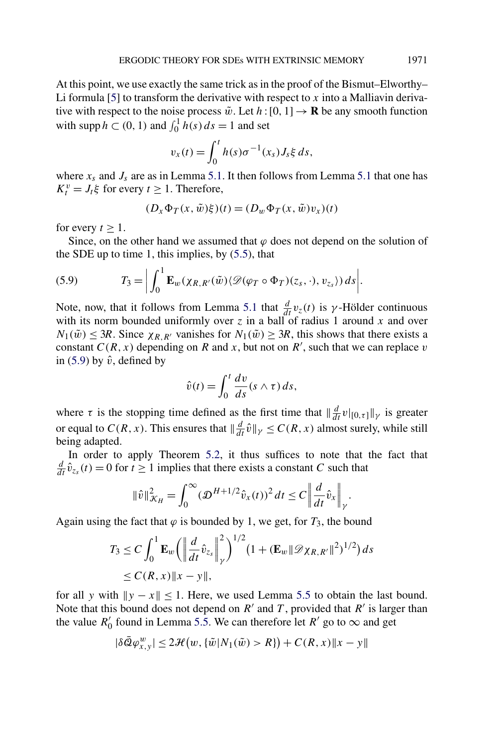At this point, we use exactly the same trick as in the proof of the Bismut–Elworthy– Li formula [\[5\]](#page-27-0) to transform the derivative with respect to *x* into a Malliavin derivative with respect to the noise process  $\tilde{w}$ . Let  $h:[0,1] \rightarrow \mathbf{R}$  be any smooth function with supp  $h \subset (0, 1)$  and  $\int_0^1 h(s) ds = 1$  and set

$$
v_x(t) = \int_0^t h(s)\sigma^{-1}(x_s)J_s\xi ds,
$$

where  $x_s$  and  $J_s$  are as in Lemma [5.1.](#page-17-0) It then follows from Lemma [5.1](#page-17-0) that one has  $K_t^v = J_t \xi$  for every  $t \geq 1$ . Therefore,

$$
(D_x \Phi_T(x, \tilde{w})\xi)(t) = (D_w \Phi_T(x, \tilde{w})v_x)(t)
$$

for every  $t \geq 1$ .

Since, on the other hand we assumed that  $\varphi$  does not depend on the solution of the SDE up to time 1, this implies, by  $(5.5)$ , that

(5.9) 
$$
T_3 = \left| \int_0^1 \mathbf{E}_w(\chi_{R,R'}(\tilde{w}) \langle \mathcal{D}(\varphi_T \circ \Phi_T)(z_s, \cdot), v_{z_s} \rangle) ds \right|.
$$

Note, now, that it follows from Lemma [5.1](#page-17-0) that  $\frac{d}{dt}v_z(t)$  is *γ*-Hölder continuous with its norm bounded uniformly over  $z$  in a ball of radius 1 around  $x$  and over  $N_1(\tilde{w}) \leq 3R$ . Since  $\chi_{R,R'}$  vanishes for  $N_1(\tilde{w}) \geq 3R$ , this shows that there exists a constant  $C(R, x)$  depending on *R* and *x*, but not on *R'*, such that we can replace *v* in  $(5.9)$  by  $\hat{v}$ , defined by

$$
\hat{v}(t) = \int_0^t \frac{dv}{ds} (s \wedge \tau) ds,
$$

where  $\tau$  is the stopping time defined as the first time that  $\|\frac{d}{dt}v|_{[0,\tau]}\|_{\gamma}$  is greater or equal to  $C(R, x)$ . This ensures that  $\|\frac{d}{dt}\hat{v}\|_{\gamma} \leq C(R, x)$  almost surely, while still being adapted.

In order to apply Theorem [5.2,](#page-18-0) it thus suffices to note that the fact that  $\frac{d}{dt}\hat{v}_{z_s}(t) = 0$  for  $t \ge 1$  implies that there exists a constant *C* such that

$$
\|\hat{v}\|_{\mathcal{K}_H}^2 = \int_0^\infty (\mathcal{D}^{H+1/2} \hat{v}_x(t))^2 dt \le C \left\|\frac{d}{dt} \hat{v}_x\right\|_{\gamma}.
$$

Again using the fact that  $\varphi$  is bounded by 1, we get, for  $T_3$ , the bound

$$
T_3 \le C \int_0^1 \mathbf{E}_w \Big( \Big\| \frac{d}{dt} \hat{v}_{z_s} \Big\|_{\gamma}^2 \Big)^{1/2} \big( 1 + (\mathbf{E}_w \| \mathscr{D} \chi_{R,R'} \|^2)^{1/2} \big) ds
$$
  
 
$$
\le C(R,x) \|x - y\|,
$$

for all *y* with  $||y - x|| \le 1$ . Here, we used Lemma [5.5](#page-20-0) to obtain the last bound. Note that this bound does not depend on  $R'$  and  $T$ , provided that  $R'$  is larger than the value  $R'_0$  found in Lemma [5.5.](#page-20-0) We can therefore let  $R'$  go to  $\infty$  and get

$$
|\delta \bar{\mathcal{Q}}\varphi_{x,y}^w| \le 2\mathcal{H}\big(w,\{\tilde{w}|N_1(\tilde{w})>R\}\big) + C(R,x)\|x-y\|
$$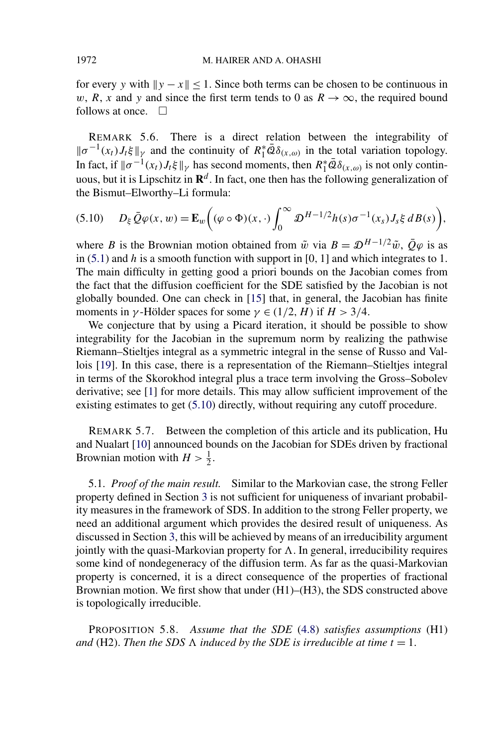<span id="page-22-0"></span>for every *y* with  $||y - x|| \le 1$ . Since both terms can be chosen to be continuous in *w*, *R*, *x* and *y* and since the first term tends to 0 as  $R \rightarrow \infty$ , the required bound follows at once.  $\Box$ 

REMARK 5.6. There is a direct relation between the integrability of  $\|\sigma^{-1}(x_t)J_t\xi\|_{\gamma}$  and the continuity of  $R_1^*\bar{Q}\delta_{(x,\omega)}$  in the total variation topology. In fact, if  $\|\sigma^{-1}(x_t)J_t\xi\|_{\gamma}$  has second moments, then  $R_1^*\bar{Q}\delta_{(x,\omega)}$  is not only continuous, but it is Lipschitz in **R***<sup>d</sup>* . In fact, one then has the following generalization of the Bismut–Elworthy–Li formula:

$$
(5.10) \tD_{\xi}\bar{Q}\varphi(x,w) = \mathbf{E}_w\bigg((\varphi \circ \Phi)(x,\cdot)\int_0^{\infty} \mathcal{D}^{H-1/2}h(s)\sigma^{-1}(x_s)J_s\xi\,dB(s)\bigg),
$$

where *B* is the Brownian motion obtained from  $\tilde{w}$  via  $B = \mathcal{D}^{H-1/2}\tilde{w}$ ,  $\bar{Q}\varphi$  is as in [\(5.1\)](#page-16-0) and *h* is a smooth function with support in [0*,* 1] and which integrates to 1. The main difficulty in getting good a priori bounds on the Jacobian comes from the fact that the diffusion coefficient for the SDE satisfied by the Jacobian is not globally bounded. One can check in [\[15\]](#page-27-0) that, in general, the Jacobian has finite moments in *γ*-Hölder spaces for some  $\gamma \in (1/2, H)$  if  $H > 3/4$ .

We conjecture that by using a Picard iteration, it should be possible to show integrability for the Jacobian in the supremum norm by realizing the pathwise Riemann–Stieltjes integral as a symmetric integral in the sense of Russo and Vallois [\[19\]](#page-27-0). In this case, there is a representation of the Riemann–Stieltjes integral in terms of the Skorokhod integral plus a trace term involving the Gross–Sobolev derivative; see [\[1\]](#page-27-0) for more details. This may allow sufficient improvement of the existing estimates to get (5.10) directly, without requiring any cutoff procedure.

REMARK 5.7. Between the completion of this article and its publication, Hu and Nualart [\[10\]](#page-27-0) announced bounds on the Jacobian for SDEs driven by fractional Brownian motion with  $H > \frac{1}{2}$ .

5.1. *Proof of the main result.* Similar to the Markovian case, the strong Feller property defined in Section [3](#page-5-0) is not sufficient for uniqueness of invariant probability measures in the framework of SDS. In addition to the strong Feller property, we need an additional argument which provides the desired result of uniqueness. As discussed in Section [3,](#page-5-0) this will be achieved by means of an irreducibility argument jointly with the quasi-Markovian property for  $\Lambda$ . In general, irreducibility requires some kind of nondegeneracy of the diffusion term. As far as the quasi-Markovian property is concerned, it is a direct consequence of the properties of fractional Brownian motion. We first show that under (H1)–(H3), the SDS constructed above is topologically irreducible.

PROPOSITION 5.8. *Assume that the SDE* [\(4.8\)](#page-13-0) *satisfies assumptions* (H1) *and* (H2). *Then the SDS*  $\Lambda$  *induced by the SDE is irreducible at time*  $t = 1$ *.*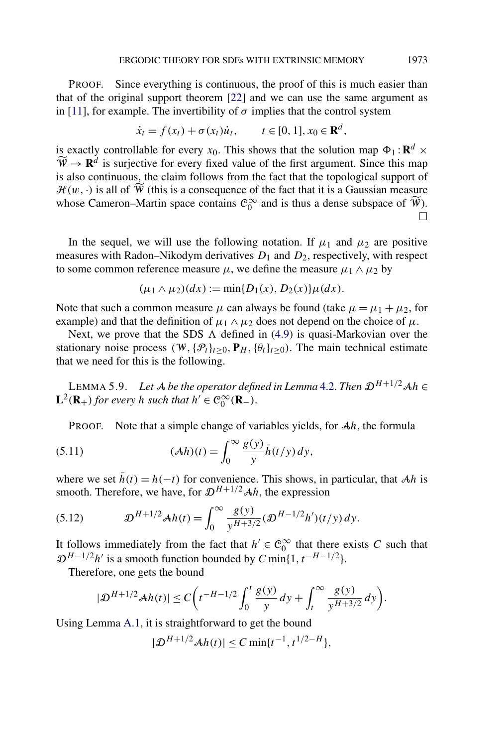<span id="page-23-0"></span>PROOF. Since everything is continuous, the proof of this is much easier than that of the original support theorem [\[22\]](#page-27-0) and we can use the same argument as in [\[11\]](#page-27-0), for example. The invertibility of  $\sigma$  implies that the control system

$$
\dot{x}_t = f(x_t) + \sigma(x_t)\dot{u}_t, \qquad t \in [0, 1], x_0 \in \mathbf{R}^d,
$$

is exactly controllable for every  $x_0$ . This shows that the solution map  $\Phi_1 : \mathbf{R}^d \times$  $\widetilde{W} \to \mathbf{R}^d$  is surjective for every fixed value of the first argument. Since this map is also continuous, the claim follows from the fact that the topological support of  $\mathcal{H}(w, \cdot)$  is all of  $\tilde{W}$  (this is a consequence of the fact that it is a Gaussian measure whose Cameron–Martin space contains  $\mathcal{C}_0^{\infty}$  and is thus a dense subspace of  $\widetilde{W}$ ).  $\Box$ 

In the sequel, we will use the following notation. If  $\mu_1$  and  $\mu_2$  are positive measures with Radon–Nikodym derivatives  $D_1$  and  $D_2$ , respectively, with respect to some common reference measure  $\mu$ , we define the measure  $\mu_1 \wedge \mu_2$  by

$$
(\mu_1 \wedge \mu_2)(dx) := \min\{D_1(x), D_2(x)\}\mu(dx).
$$

Note that such a common measure  $\mu$  can always be found (take  $\mu = \mu_1 + \mu_2$ , for example) and that the definition of  $\mu_1 \wedge \mu_2$  does not depend on the choice of  $\mu$ .

Next, we prove that the SDS  $\Lambda$  defined in [\(4.9\)](#page-13-0) is quasi-Markovian over the stationary noise process  $(W, \{P_t\}_{t \geq 0}, P_H, \{\theta_t\}_{t \geq 0})$ . The main technical estimate that we need for this is the following.

LEMMA 5.9. *Let A be the operator defined in Lemma* [4.2.](#page-12-0) *Then*  $\mathcal{D}^{H+1/2}$  *Ah* ∈  $L^2(\mathbf{R}_+)$  *for every h such that*  $h' \in \mathcal{C}_0^{\infty}(\mathbf{R}_-)$ *.* 

PROOF. Note that a simple change of variables yields, for A*h*, the formula

(5.11) 
$$
(\mathcal{A}h)(t) = \int_0^\infty \frac{g(y)}{y} \bar{h}(t/y) dy,
$$

where we set  $\bar{h}(t) = h(-t)$  for convenience. This shows, in particular, that A*h* is smooth. Therefore, we have, for  $\mathcal{D}^{H+1/2}$  A*h*, the expression

(5.12) 
$$
\mathcal{D}^{H+1/2} \mathcal{A}h(t) = \int_0^\infty \frac{g(y)}{y^{H+3/2}} (\mathcal{D}^{H-1/2}h')(t/y) dy.
$$

It follows immediately from the fact that  $h' \in C_0^{\infty}$  that there exists *C* such that  $\mathcal{D}^{H-1/2}h'$  is a smooth function bounded by *C* min{1*, t*<sup>−*H*−1/2</sup>}.

Therefore, one gets the bound

$$
|\mathcal{D}^{H+1/2} \mathcal{A}h(t)| \le C \bigg( t^{-H-1/2} \int_0^t \frac{g(y)}{y} dy + \int_t^\infty \frac{g(y)}{y^{H+3/2}} dy \bigg).
$$

Using Lemma [A.1,](#page-25-0) it is straightforward to get the bound

$$
|\mathcal{D}^{H+1/2}\mathcal{A}h(t)| \leq C \min\{t^{-1}, t^{1/2-H}\},\
$$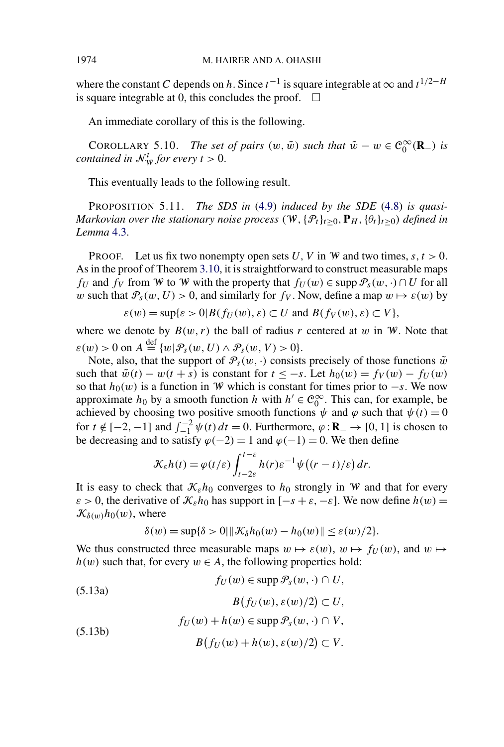where the constant *C* depends on *h*. Since  $t^{-1}$  is square integrable at  $\infty$  and  $t^{1/2-H}$ is square integrable at 0, this concludes the proof.  $\Box$ 

An immediate corollary of this is the following.

COROLLARY 5.10. *The set of pairs*  $(w, \tilde{w})$  *such that*  $\tilde{w} - w \in C_0^{\infty}(\mathbf{R}_-)$  *is contained in*  $\mathcal{N}_{\mathcal{W}}^{t}$  *for every*  $t > 0$ .

This eventually leads to the following result.

PROPOSITION 5.11. *The SDS in* [\(4.9\)](#page-13-0) *induced by the SDE* [\(4.8\)](#page-13-0) *is quasi-Markovian over the stationary noise process*  $(W, \{P_t\}_{t>0}, P_H, \{\theta_t\}_{t>0})$  *defined in Lemma* [4.3.](#page-13-0)

PROOF. Let us fix two nonempty open sets U, V in W and two times,  $s, t > 0$ . As in the proof of Theorem [3.10,](#page-9-0) it is straightforward to construct measurable maps *fu* and *fy* from W to W with the property that  $f_U(w) \in \text{supp } \mathcal{P}_s(w, \cdot) \cap U$  for all *w* such that  $\mathcal{P}_s(w, U) > 0$ , and similarly for  $f_V$ . Now, define a map  $w \mapsto \varepsilon(w)$  by

$$
\varepsilon(w) = \sup \{ \varepsilon > 0 \mid B(f_U(w), \varepsilon) \subset U \text{ and } B(f_V(w), \varepsilon) \subset V \},
$$

where we denote by  $B(w, r)$  the ball of radius *r* centered at *w* in W. Note that  $\varepsilon(w) > 0$  on  $A \stackrel{\text{def}}{=} \{w | \mathcal{P}_s(w, U) \wedge \mathcal{P}_s(w, V) > 0\}.$ 

Note, also, that the support of  $\mathcal{P}_s(w, \cdot)$  consists precisely of those functions  $\tilde{w}$ such that  $\tilde{w}(t) - w(t + s)$  is constant for  $t \leq -s$ . Let  $h_0(w) = f_V(w) - f_U(w)$ so that  $h_0(w)$  is a function in W which is constant for times prior to  $-s$ . We now approximate *h*<sup>0</sup> by a smooth function *h* with  $h' \in C_0^\infty$ . This can, for example, be achieved by choosing two positive smooth functions  $\psi$  and  $\varphi$  such that  $\psi(t) = 0$ for  $t \notin [-2, -1]$  and  $\int_{-1}^{-2} \psi(t) dt = 0$ . Furthermore,  $\varphi : \mathbf{R}_{-} \to [0, 1]$  is chosen to be decreasing and to satisfy  $\varphi(-2) = 1$  and  $\varphi(-1) = 0$ . We then define

$$
\mathcal{K}_{\varepsilon}h(t) = \varphi(t/\varepsilon) \int_{t-2\varepsilon}^{t-\varepsilon} h(r) \varepsilon^{-1} \psi((r-t)/\varepsilon) dr.
$$

It is easy to check that  $\mathcal{K}_{\varepsilon}h_0$  converges to  $h_0$  strongly in W and that for every  $\varepsilon > 0$ , the derivative of  $\mathcal{K}_{\varepsilon} h_0$  has support in  $[-s + \varepsilon, -\varepsilon]$ . We now define  $h(w) =$  $\mathcal{K}_{\delta(w)}h_0(w)$ , where

$$
\delta(w) = \sup\{\delta > 0 \mid \|\mathcal{K}_{\delta}h_0(w) - h_0(w)\| \le \varepsilon(w)/2\}.
$$

We thus constructed three measurable maps  $w \mapsto \varepsilon(w)$ ,  $w \mapsto f_U(w)$ , and  $w \mapsto$  $h(w)$  such that, for every  $w \in A$ , the following properties hold:

 $f_U(w) \in \text{supp } \mathcal{P}_s(w, \cdot) \cap U$ , (5.13a)  $B(f_U(w), \varepsilon(w)/2) \subset U$ ,  $f_U(w) + h(w) \in \text{supp } \mathcal{P}_s(w, \cdot) \cap V$ , (5.13b)  $B(f_U(w) + h(w), \varepsilon(w)/2) \subset V$ .

<span id="page-24-0"></span>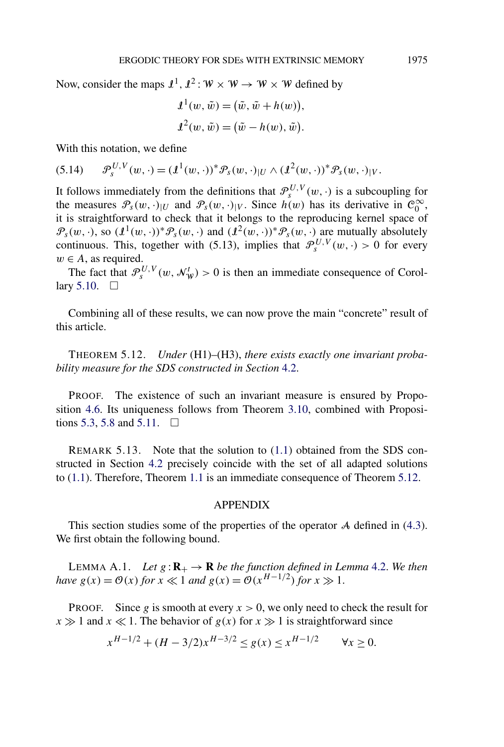<span id="page-25-0"></span>Now, consider the maps  $\mathbf{I}^1$ ,  $\mathbf{I}^2$ :  $\mathbf{W} \times \mathbf{W} \rightarrow \mathbf{W} \times \mathbf{W}$  defined by

$$
I^{1}(w, \tilde{w}) = (\tilde{w}, \tilde{w} + h(w)),
$$
  

$$
I^{2}(w, \tilde{w}) = (\tilde{w} - h(w), \tilde{w}).
$$

With this notation, we define

$$
(5.14) \qquad \mathcal{P}_s^{U,V}(w,\cdot) = (\mathcal{I}^1(w,\cdot))^* \mathcal{P}_s(w,\cdot)_{|U} \wedge (\mathcal{I}^2(w,\cdot))^* \mathcal{P}_s(w,\cdot)_{|V}.
$$

It follows immediately from the definitions that  $\mathcal{P}_{s}^{U,V}(w, \cdot)$  is a subcoupling for the measures  $\mathcal{P}_s(w, \cdot)_{|U}$  and  $\mathcal{P}_s(w, \cdot)_{|V}$ . Since  $h(w)$  has its derivative in  $\mathcal{C}_0^{\infty}$ , it is straightforward to check that it belongs to the reproducing kernel space of  $\mathcal{P}_s(w, \cdot)$ , so  $(\mathcal{I}^1(w, \cdot))^* \mathcal{P}_s(w, \cdot)$  and  $(\mathcal{I}^2(w, \cdot))^* \mathcal{P}_s(w, \cdot)$  are mutually absolutely continuous. This, together with (5.13), implies that  $\mathcal{P}_{s}^{U,V}(w, \cdot) > 0$  for every  $w \in A$ , as required.

The fact that  $\mathcal{P}_s^{U,V}(w, \mathcal{N}_w^t) > 0$  is then an immediate consequence of Corol-lary [5.10.](#page-24-0)  $\Box$ 

Combining all of these results, we can now prove the main "concrete" result of this article.

THEOREM 5.12. *Under* (H1)–(H3), *there exists exactly one invariant probability measure for the SDS constructed in Section* [4.2.](#page-13-0)

PROOF. The existence of such an invariant measure is ensured by Proposition [4.6.](#page-14-0) Its uniqueness follows from Theorem [3.10,](#page-9-0) combined with Proposi-tions [5.3,](#page-19-0) [5.8](#page-22-0) and [5.11.](#page-24-0)  $\Box$ 

REMARK 5.13. Note that the solution to [\(1.1\)](#page-1-0) obtained from the SDS constructed in Section [4.2](#page-13-0) precisely coincide with the set of all adapted solutions to [\(1.1\)](#page-1-0). Therefore, Theorem [1.1](#page-2-0) is an immediate consequence of Theorem 5.12.

#### APPENDIX

This section studies some of the properties of the operator A defined in [\(4.3\)](#page-12-0). We first obtain the following bound.

LEMMA A.1. *Let*  $g: \mathbf{R}_+ \to \mathbf{R}$  *be the function defined in Lemma* [4.2.](#page-12-0) *We then have*  $g(x) = \mathcal{O}(x)$  *for*  $x \ll 1$  *and*  $g(x) = \mathcal{O}(x^{H-1/2})$  *for*  $x \gg 1$ .

PROOF. Since *g* is smooth at every *x >* 0, we only need to check the result for  $x \gg 1$  and  $x \ll 1$ . The behavior of  $g(x)$  for  $x \gg 1$  is straightforward since

$$
x^{H-1/2} + (H - 3/2)x^{H-3/2} \le g(x) \le x^{H-1/2} \qquad \forall x \ge 0.
$$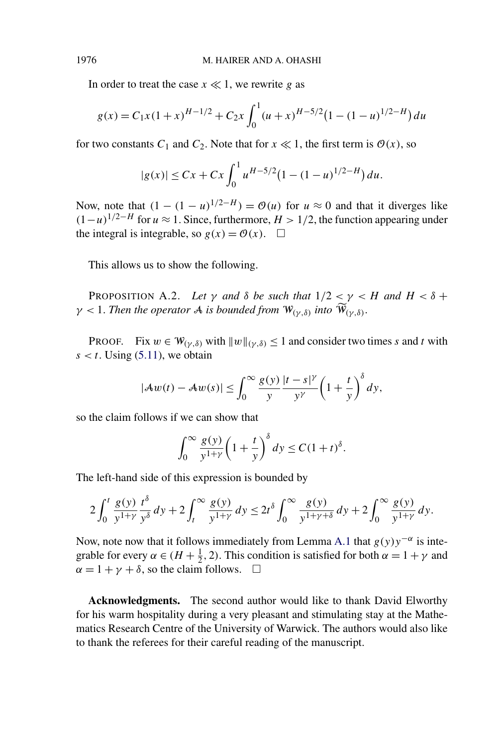In order to treat the case  $x \ll 1$ , we rewrite g as

$$
g(x) = C_1 x (1+x)^{H-1/2} + C_2 x \int_0^1 (u+x)^{H-5/2} (1-(1-u)^{1/2-H}) du
$$

for two constants  $C_1$  and  $C_2$ . Note that for  $x \ll 1$ , the first term is  $\mathcal{O}(x)$ , so

$$
|g(x)| \leq Cx + Cx \int_0^1 u^{H-5/2} (1 - (1 - u)^{1/2 - H}) du.
$$

Now, note that  $(1 - (1 - u)^{1/2 - H}) = \mathcal{O}(u)$  for  $u \approx 0$  and that it diverges like  $(1-u)^{1/2-H}$  for  $u \approx 1$ . Since, furthermore,  $H > 1/2$ , the function appearing under the integral is integrable, so  $g(x) = \mathcal{O}(x)$ .  $\Box$ 

This allows us to show the following.

PROPOSITION A.2. Let  $\gamma$  and  $\delta$  be such that  $1/2 < \gamma < H$  and  $H < \delta +$ *γ <* 1. *Then the operator* A *is bounded from* W*(γ ,δ) into* W *(γ ,δ)*.

PROOF. Fix  $w \in W_{(\gamma,\delta)}$  with  $||w||_{(\gamma,\delta)} \leq 1$  and consider two times *s* and *t* with  $s < t$ . Using [\(5.11\)](#page-23-0), we obtain

$$
|\mathcal{A}w(t) - \mathcal{A}w(s)| \leq \int_0^\infty \frac{g(y)}{y} \frac{|t-s|^\gamma}{y^\gamma} \left(1 + \frac{t}{y}\right)^{\delta} dy,
$$

so the claim follows if we can show that

$$
\int_0^\infty \frac{g(y)}{y^{1+\gamma}} \left(1+\frac{t}{y}\right)^{\delta} dy \le C(1+t)^{\delta}.
$$

The left-hand side of this expression is bounded by

$$
2\int_0^t \frac{g(y)}{y^{1+\gamma}} \frac{t^{\delta}}{y^{\delta}} dy + 2\int_t^{\infty} \frac{g(y)}{y^{1+\gamma}} dy \le 2t^{\delta} \int_0^{\infty} \frac{g(y)}{y^{1+\gamma+\delta}} dy + 2\int_0^{\infty} \frac{g(y)}{y^{1+\gamma}} dy.
$$

Now, note now that it follows immediately from Lemma [A.1](#page-25-0) that  $g(y)y^{-\alpha}$  is integrable for every  $\alpha \in (H + \frac{1}{2}, 2)$ . This condition is satisfied for both  $\alpha = 1 + \gamma$  and  $\alpha = 1 + \gamma + \delta$ , so the claim follows.  $\square$ 

**Acknowledgments.** The second author would like to thank David Elworthy for his warm hospitality during a very pleasant and stimulating stay at the Mathematics Research Centre of the University of Warwick. The authors would also like to thank the referees for their careful reading of the manuscript.

<span id="page-26-0"></span>